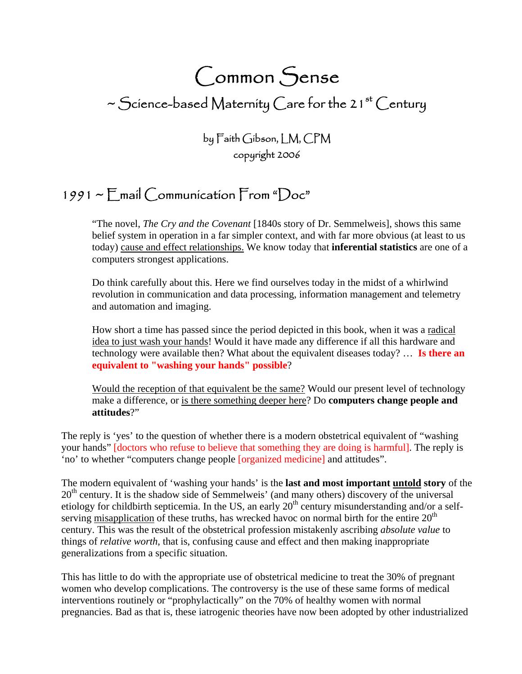# Common Sense ~ Science-based Maternity Care for the 21<sup>st</sup> Century

by Faith Gibson, LM, CPM copyright 2006

#### 1991 ~ Email Communication From "Doc"

"The novel, *The Cry and the Covenant* [1840s story of Dr. Semmelweis], shows this same belief system in operation in a far simpler context, and with far more obvious (at least to us today) cause and effect relationships. We know today that **inferential statistics** are one of a computers strongest applications.

Do think carefully about this. Here we find ourselves today in the midst of a whirlwind revolution in communication and data processing, information management and telemetry and automation and imaging.

How short a time has passed since the period depicted in this book, when it was a radical idea to just wash your hands! Would it have made any difference if all this hardware and technology were available then? What about the equivalent diseases today? … **Is there an equivalent to "washing your hands" possible**?

Would the reception of that equivalent be the same? Would our present level of technology make a difference, or is there something deeper here? Do **computers change people and attitudes**?"

The reply is 'yes' to the question of whether there is a modern obstetrical equivalent of "washing your hands" [doctors who refuse to believe that something they are doing is harmful]. The reply is 'no' to whether "computers change people [organized medicine] and attitudes".

The modern equivalent of 'washing your hands' is the **last and most important untold story** of the  $20<sup>th</sup>$  century. It is the shadow side of Semmelweis' (and many others) discovery of the universal etiology for childbirth septicemia. In the US, an early  $20<sup>th</sup>$  century misunderstanding and/or a selfserving misapplication of these truths, has wrecked havoc on normal birth for the entire  $20<sup>th</sup>$ century. This was the result of the obstetrical profession mistakenly ascribing *absolute value* to things of *relative worth*, that is, confusing cause and effect and then making inappropriate generalizations from a specific situation.

This has little to do with the appropriate use of obstetrical medicine to treat the 30% of pregnant women who develop complications. The controversy is the use of these same forms of medical interventions routinely or "prophylactically" on the 70% of healthy women with normal pregnancies. Bad as that is, these iatrogenic theories have now been adopted by other industrialized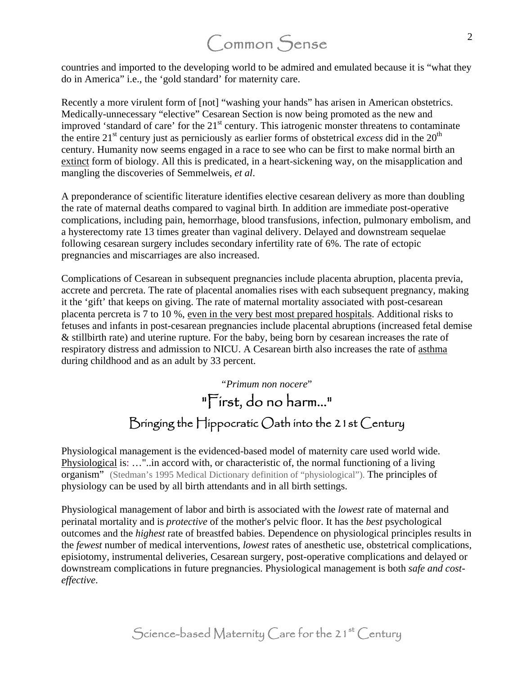2

countries and imported to the developing world to be admired and emulated because it is "what they do in America" i.e., the 'gold standard' for maternity care.

Recently a more virulent form of [not] "washing your hands" has arisen in American obstetrics. Medically-unnecessary "elective" Cesarean Section is now being promoted as the new and improved 'standard of care' for the 21<sup>st</sup> century. This iatrogenic monster threatens to contaminate the entire  $21<sup>st</sup>$  century just as perniciously as earlier forms of obstetrical *excess* did in the  $20<sup>th</sup>$ century. Humanity now seems engaged in a race to see who can be first to make normal birth an extinct form of biology. All this is predicated, in a heart-sickening way, on the misapplication and mangling the discoveries of Semmelweis, *et al*.

A preponderance of scientific literature identifies elective cesarean delivery as more than doubling the rate of maternal deaths compared to vaginal birth. In addition are immediate post-operative complications, including pain, hemorrhage, blood transfusions, infection, pulmonary embolism, and a hysterectomy rate 13 times greater than vaginal delivery. Delayed and downstream sequelae following cesarean surgery includes secondary infertility rate of 6%. The rate of ectopic pregnancies and miscarriages are also increased.

Complications of Cesarean in subsequent pregnancies include placenta abruption, placenta previa, accrete and percreta. The rate of placental anomalies rises with each subsequent pregnancy, making it the 'gift' that keeps on giving. The rate of maternal mortality associated with post-cesarean placenta percreta is 7 to 10 %, even in the very best most prepared hospitals. Additional risks to fetuses and infants in post-cesarean pregnancies include placental abruptions (increased fetal demise & stillbirth rate) and uterine rupture. For the baby, being born by cesarean increases the rate of respiratory distress and admission to NICU. A Cesarean birth also increases the rate of asthma during childhood and as an adult by 33 percent.

#### "*Primum non nocere*" "First, do no harm..." Bringing the Hippocratic Oath into the 21st Century

Physiological management is the evidenced-based model of maternity care used world wide. Physiological is: …"..in accord with, or characteristic of, the normal functioning of a living organism" (Stedman's 1995 Medical Dictionary definition of "physiological"). The principles of physiology can be used by all birth attendants and in all birth settings.

Physiological management of labor and birth is associated with the *lowest* rate of maternal and perinatal mortality and is *protective* of the mother's pelvic floor. It has the *best* psychological outcomes and the *highest* rate of breastfed babies. Dependence on physiological principles results in the *fewest* number of medical interventions, *lowest* rates of anesthetic use, obstetrical complications, episiotomy, instrumental deliveries, Cesarean surgery, post-operative complications and delayed or downstream complications in future pregnancies. Physiological management is both *safe and costeffective*.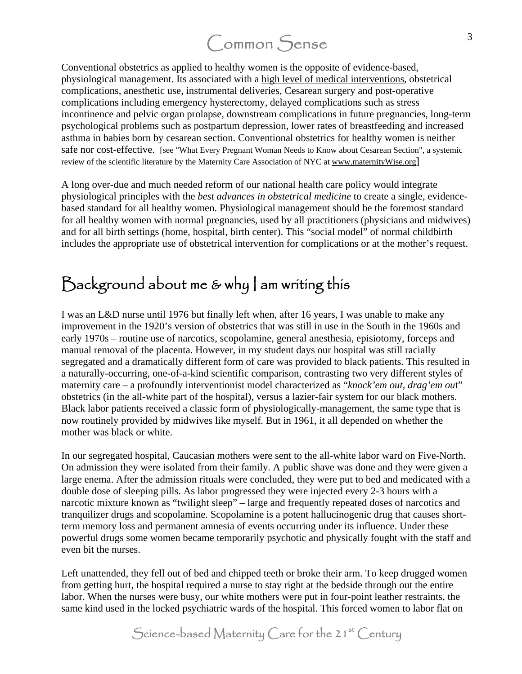Conventional obstetrics as applied to healthy women is the opposite of evidence-based, physiological management. Its associated with a high level of medical interventions, obstetrical complications, anesthetic use, instrumental deliveries, Cesarean surgery and post-operative complications including emergency hysterectomy, delayed complications such as stress incontinence and pelvic organ prolapse, downstream complications in future pregnancies, long-term psychological problems such as postpartum depression, lower rates of breastfeeding and increased asthma in babies born by cesarean section. Conventional obstetrics for healthy women is neither safe nor cost-effective. [see "What Every Pregnant Woman Needs to Know about Cesarean Section", a systemic review of the scientific literature by the Maternity Care Association of NYC at [www.maternityWise.org](http://www.maternitywise.org/)]

A long over-due and much needed reform of our national health care policy would integrate physiological principles with the *best advances in obstetrical medicine* to create a single, evidencebased standard for all healthy women. Physiological management should be the foremost standard for all healthy women with normal pregnancies, used by all practitioners (physicians and midwives) and for all birth settings (home, hospital, birth center). This "social model" of normal childbirth includes the appropriate use of obstetrical intervention for complications or at the mother's request.

#### Background about me & why I am writing this

I was an L&D nurse until 1976 but finally left when, after 16 years, I was unable to make any improvement in the 1920's version of obstetrics that was still in use in the South in the 1960s and early 1970s – routine use of narcotics, scopolamine, general anesthesia, episiotomy, forceps and manual removal of the placenta. However, in my student days our hospital was still racially segregated and a dramatically different form of care was provided to black patients. This resulted in a naturally-occurring, one-of-a-kind scientific comparison, contrasting two very different styles of maternity care – a profoundly interventionist model characterized as "*knock'em out, drag'em ou*t" obstetrics (in the all-white part of the hospital), versus a lazier-fair system for our black mothers. Black labor patients received a classic form of physiologically-management, the same type that is now routinely provided by midwives like myself. But in 1961, it all depended on whether the mother was black or white.

In our segregated hospital, Caucasian mothers were sent to the all-white labor ward on Five-North. On admission they were isolated from their family. A public shave was done and they were given a large enema. After the admission rituals were concluded, they were put to bed and medicated with a double dose of sleeping pills. As labor progressed they were injected every 2-3 hours with a narcotic mixture known as "twilight sleep" – large and frequently repeated doses of narcotics and tranquilizer drugs and scopolamine. Scopolamine is a potent hallucinogenic drug that causes shortterm memory loss and permanent amnesia of events occurring under its influence. Under these powerful drugs some women became temporarily psychotic and physically fought with the staff and even bit the nurses.

Left unattended, they fell out of bed and chipped teeth or broke their arm. To keep drugged women from getting hurt, the hospital required a nurse to stay right at the bedside through out the entire labor. When the nurses were busy, our white mothers were put in four-point leather restraints, the same kind used in the locked psychiatric wards of the hospital. This forced women to labor flat on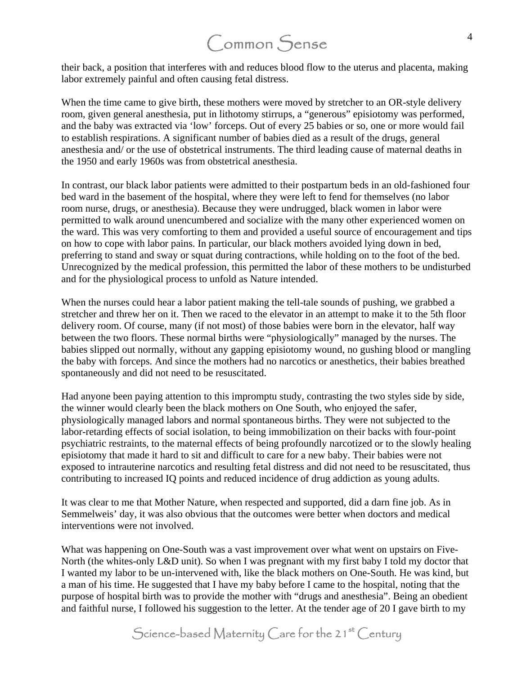their back, a position that interferes with and reduces blood flow to the uterus and placenta, making labor extremely painful and often causing fetal distress.

When the time came to give birth, these mothers were moved by stretcher to an OR-style delivery room, given general anesthesia, put in lithotomy stirrups, a "generous" episiotomy was performed, and the baby was extracted via 'low' forceps. Out of every 25 babies or so, one or more would fail to establish respirations. A significant number of babies died as a result of the drugs, general anesthesia and/ or the use of obstetrical instruments. The third leading cause of maternal deaths in the 1950 and early 1960s was from obstetrical anesthesia.

In contrast, our black labor patients were admitted to their postpartum beds in an old-fashioned four bed ward in the basement of the hospital, where they were left to fend for themselves (no labor room nurse, drugs, or anesthesia). Because they were undrugged, black women in labor were permitted to walk around unencumbered and socialize with the many other experienced women on the ward. This was very comforting to them and provided a useful source of encouragement and tips on how to cope with labor pains. In particular, our black mothers avoided lying down in bed, preferring to stand and sway or squat during contractions, while holding on to the foot of the bed. Unrecognized by the medical profession, this permitted the labor of these mothers to be undisturbed and for the physiological process to unfold as Nature intended.

When the nurses could hear a labor patient making the tell-tale sounds of pushing, we grabbed a stretcher and threw her on it. Then we raced to the elevator in an attempt to make it to the 5th floor delivery room. Of course, many (if not most) of those babies were born in the elevator, half way between the two floors. These normal births were "physiologically" managed by the nurses. The babies slipped out normally, without any gapping episiotomy wound, no gushing blood or mangling the baby with forceps. And since the mothers had no narcotics or anesthetics, their babies breathed spontaneously and did not need to be resuscitated.

Had anyone been paying attention to this impromptu study, contrasting the two styles side by side, the winner would clearly been the black mothers on One South, who enjoyed the safer, physiologically managed labors and normal spontaneous births. They were not subjected to the labor-retarding effects of social isolation, to being immobilization on their backs with four-point psychiatric restraints, to the maternal effects of being profoundly narcotized or to the slowly healing episiotomy that made it hard to sit and difficult to care for a new baby. Their babies were not exposed to intrauterine narcotics and resulting fetal distress and did not need to be resuscitated, thus contributing to increased IQ points and reduced incidence of drug addiction as young adults.

It was clear to me that Mother Nature, when respected and supported, did a darn fine job. As in Semmelweis' day, it was also obvious that the outcomes were better when doctors and medical interventions were not involved.

What was happening on One-South was a vast improvement over what went on upstairs on Five-North (the whites-only L&D unit). So when I was pregnant with my first baby I told my doctor that I wanted my labor to be un-intervened with, like the black mothers on One-South. He was kind, but a man of his time. He suggested that I have my baby before I came to the hospital, noting that the purpose of hospital birth was to provide the mother with "drugs and anesthesia". Being an obedient and faithful nurse, I followed his suggestion to the letter. At the tender age of 20 I gave birth to my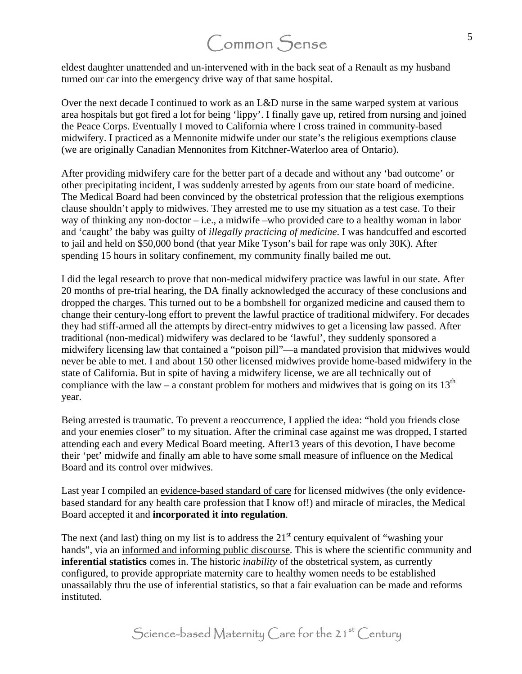eldest daughter unattended and un-intervened with in the back seat of a Renault as my husband turned our car into the emergency drive way of that same hospital.

Over the next decade I continued to work as an L&D nurse in the same warped system at various area hospitals but got fired a lot for being 'lippy'. I finally gave up, retired from nursing and joined the Peace Corps. Eventually I moved to California where I cross trained in community-based midwifery. I practiced as a Mennonite midwife under our state's the religious exemptions clause (we are originally Canadian Mennonites from Kitchner-Waterloo area of Ontario).

After providing midwifery care for the better part of a decade and without any 'bad outcome' or other precipitating incident, I was suddenly arrested by agents from our state board of medicine. The Medical Board had been convinced by the obstetrical profession that the religious exemptions clause shouldn't apply to midwives. They arrested me to use my situation as a test case. To their way of thinking any non-doctor – i.e., a midwife –who provided care to a healthy woman in labor and 'caught' the baby was guilty of *illegally practicing of medicine*. I was handcuffed and escorted to jail and held on \$50,000 bond (that year Mike Tyson's bail for rape was only 30K). After spending 15 hours in solitary confinement, my community finally bailed me out.

I did the legal research to prove that non-medical midwifery practice was lawful in our state. After 20 months of pre-trial hearing, the DA finally acknowledged the accuracy of these conclusions and dropped the charges. This turned out to be a bombshell for organized medicine and caused them to change their century-long effort to prevent the lawful practice of traditional midwifery. For decades they had stiff-armed all the attempts by direct-entry midwives to get a licensing law passed. After traditional (non-medical) midwifery was declared to be 'lawful', they suddenly sponsored a midwifery licensing law that contained a "poison pill"—a mandated provision that midwives would never be able to met. I and about 150 other licensed midwives provide home-based midwifery in the state of California. But in spite of having a midwifery license, we are all technically out of compliance with the law – a constant problem for mothers and midwives that is going on its  $13<sup>th</sup>$ year.

Being arrested is traumatic*.* To prevent a reoccurrence, I applied the idea: "hold you friends close and your enemies closer" to my situation. After the criminal case against me was dropped, I started attending each and every Medical Board meeting. After13 years of this devotion, I have become their 'pet' midwife and finally am able to have some small measure of influence on the Medical Board and its control over midwives.

Last year I compiled an evidence-based standard of care for licensed midwives (the only evidencebased standard for any health care profession that I know of!) and miracle of miracles, the Medical Board accepted it and **incorporated it into regulation**.

The next (and last) thing on my list is to address the  $21<sup>st</sup>$  century equivalent of "washing your hands", via an informed and informing public discourse. This is where the scientific community and **inferential statistics** comes in. The historic *inability* of the obstetrical system, as currently configured, to provide appropriate maternity care to healthy women needs to be established unassailably thru the use of inferential statistics, so that a fair evaluation can be made and reforms instituted.

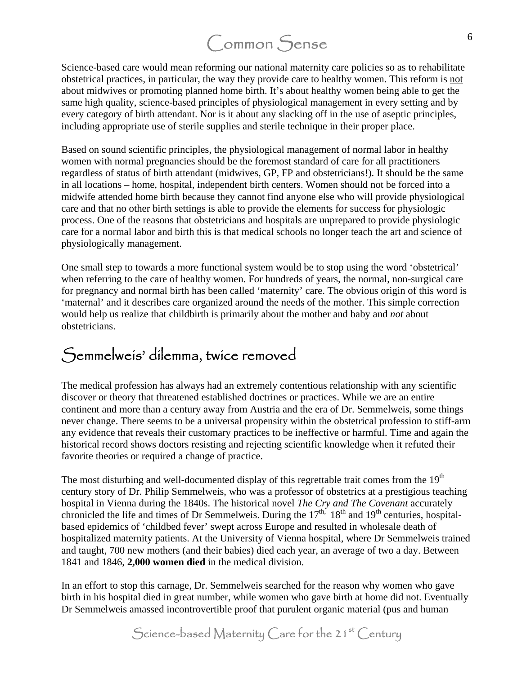Science-based care would mean reforming our national maternity care policies so as to rehabilitate obstetrical practices, in particular, the way they provide care to healthy women. This reform is not about midwives or promoting planned home birth. It's about healthy women being able to get the same high quality, science-based principles of physiological management in every setting and by every category of birth attendant. Nor is it about any slacking off in the use of aseptic principles, including appropriate use of sterile supplies and sterile technique in their proper place.

Based on sound scientific principles, the physiological management of normal labor in healthy women with normal pregnancies should be the foremost standard of care for all practitioners regardless of status of birth attendant (midwives, GP, FP and obstetricians!). It should be the same in all locations – home, hospital, independent birth centers. Women should not be forced into a midwife attended home birth because they cannot find anyone else who will provide physiological care and that no other birth settings is able to provide the elements for success for physiologic process. One of the reasons that obstetricians and hospitals are unprepared to provide physiologic care for a normal labor and birth this is that medical schools no longer teach the art and science of physiologically management.

One small step to towards a more functional system would be to stop using the word 'obstetrical' when referring to the care of healthy women. For hundreds of years, the normal, non-surgical care for pregnancy and normal birth has been called 'maternity' care. The obvious origin of this word is 'maternal' and it describes care organized around the needs of the mother. This simple correction would help us realize that childbirth is primarily about the mother and baby and *not* about obstetricians.

#### Semmelweis' dilemma, twice removed

The medical profession has always had an extremely contentious relationship with any scientific discover or theory that threatened established doctrines or practices. While we are an entire continent and more than a century away from Austria and the era of Dr. Semmelweis, some things never change. There seems to be a universal propensity within the obstetrical profession to stiff-arm any evidence that reveals their customary practices to be ineffective or harmful. Time and again the historical record shows doctors resisting and rejecting scientific knowledge when it refuted their favorite theories or required a change of practice.

The most disturbing and well-documented display of this regrettable trait comes from the  $19<sup>th</sup>$ century story of Dr. Philip Semmelweis, who was a professor of obstetrics at a prestigious teaching hospital in Vienna during the 1840s. The historical novel *The Cry and The Covenant* accurately chronicled the life and times of Dr Semmelweis. During the 17<sup>th, 18th</sup> and 19<sup>th</sup> centuries, hospitalbased epidemics of 'childbed fever' swept across Europe and resulted in wholesale death of hospitalized maternity patients. At the University of Vienna hospital, where Dr Semmelweis trained and taught, 700 new mothers (and their babies) died each year, an average of two a day. Between 1841 and 1846, **2,000 women died** in the medical division.

In an effort to stop this carnage, Dr. Semmelweis searched for the reason why women who gave birth in his hospital died in great number, while women who gave birth at home did not. Eventually Dr Semmelweis amassed incontrovertible proof that purulent organic material (pus and human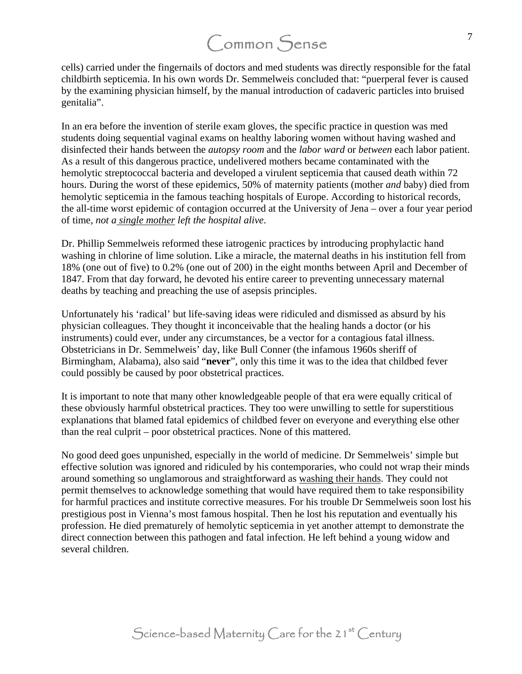cells) carried under the fingernails of doctors and med students was directly responsible for the fatal childbirth septicemia. In his own words Dr. Semmelweis concluded that: "puerperal fever is caused by the examining physician himself, by the manual introduction of cadaveric particles into bruised genitalia".

In an era before the invention of sterile exam gloves, the specific practice in question was med students doing sequential vaginal exams on healthy laboring women without having washed and disinfected their hands between the *autopsy room* and the *labor ward* or *between* each labor patient. As a result of this dangerous practice, undelivered mothers became contaminated with the hemolytic streptococcal bacteria and developed a virulent septicemia that caused death within 72 hours. During the worst of these epidemics, 50% of maternity patients (mother *and* baby) died from hemolytic septicemia in the famous teaching hospitals of Europe. According to historical records, the all-time worst epidemic of contagion occurred at the University of Jena – over a four year period of time, *not a single mother left the hospital alive*.

Dr. Phillip Semmelweis reformed these iatrogenic practices by introducing prophylactic hand washing in chlorine of lime solution. Like a miracle, the maternal deaths in his institution fell from 18% (one out of five) to 0.2% (one out of 200) in the eight months between April and December of 1847. From that day forward, he devoted his entire career to preventing unnecessary maternal deaths by teaching and preaching the use of asepsis principles.

Unfortunately his 'radical' but life-saving ideas were ridiculed and dismissed as absurd by his physician colleagues. They thought it inconceivable that the healing hands a doctor (or his instruments) could ever, under any circumstances, be a vector for a contagious fatal illness. Obstetricians in Dr. Semmelweis' day, like Bull Conner (the infamous 1960s sheriff of Birmingham, Alabama), also said "**never**", only this time it was to the idea that childbed fever could possibly be caused by poor obstetrical practices.

It is important to note that many other knowledgeable people of that era were equally critical of these obviously harmful obstetrical practices. They too were unwilling to settle for superstitious explanations that blamed fatal epidemics of childbed fever on everyone and everything else other than the real culprit – poor obstetrical practices. None of this mattered.

No good deed goes unpunished, especially in the world of medicine. Dr Semmelweis' simple but effective solution was ignored and ridiculed by his contemporaries, who could not wrap their minds around something so unglamorous and straightforward as washing their hands. They could not permit themselves to acknowledge something that would have required them to take responsibility for harmful practices and institute corrective measures. For his trouble Dr Semmelweis soon lost his prestigious post in Vienna's most famous hospital. Then he lost his reputation and eventually his profession. He died prematurely of hemolytic septicemia in yet another attempt to demonstrate the direct connection between this pathogen and fatal infection. He left behind a young widow and several children.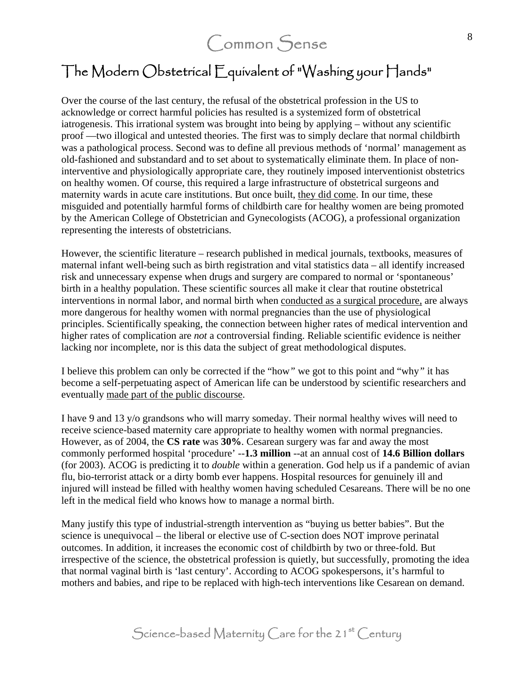#### The Modern Obstetrical Equivalent of "Washing your Hands"

Over the course of the last century, the refusal of the obstetrical profession in the US to acknowledge or correct harmful policies has resulted is a systemized form of obstetrical iatrogenesis. This irrational system was brought into being by applying – without any scientific proof —two illogical and untested theories. The first was to simply declare that normal childbirth was a pathological process. Second was to define all previous methods of 'normal' management as old-fashioned and substandard and to set about to systematically eliminate them. In place of noninterventive and physiologically appropriate care, they routinely imposed interventionist obstetrics on healthy women. Of course, this required a large infrastructure of obstetrical surgeons and maternity wards in acute care institutions. But once built, they did come. In our time, these misguided and potentially harmful forms of childbirth care for healthy women are being promoted by the American College of Obstetrician and Gynecologists (ACOG), a professional organization representing the interests of obstetricians.

However, the scientific literature – research published in medical journals, textbooks, measures of maternal infant well-being such as birth registration and vital statistics data – all identify increased risk and unnecessary expense when drugs and surgery are compared to normal or 'spontaneous' birth in a healthy population. These scientific sources all make it clear that routine obstetrical interventions in normal labor, and normal birth when conducted as a surgical procedure, are always more dangerous for healthy women with normal pregnancies than the use of physiological principles. Scientifically speaking, the connection between higher rates of medical intervention and higher rates of complication are *not* a controversial finding. Reliable scientific evidence is neither lacking nor incomplete, nor is this data the subject of great methodological disputes.

I believe this problem can only be corrected if the "how*"* we got to this point and "why*"* it has become a self-perpetuating aspect of American life can be understood by scientific researchers and eventually made part of the public discourse.

I have 9 and 13 y/o grandsons who will marry someday. Their normal healthy wives will need to receive science-based maternity care appropriate to healthy women with normal pregnancies. However, as of 2004, the **CS rate** was **30%**. Cesarean surgery was far and away the most commonly performed hospital 'procedure' --**1.3 million** --at an annual cost of **14.6 Billion dollars** (for 2003). ACOG is predicting it to *double* within a generation. God help us if a pandemic of avian flu, bio-terrorist attack or a dirty bomb ever happens. Hospital resources for genuinely ill and injured will instead be filled with healthy women having scheduled Cesareans. There will be no one left in the medical field who knows how to manage a normal birth.

Many justify this type of industrial-strength intervention as "buying us better babies". But the science is unequivocal – the liberal or elective use of C-section does NOT improve perinatal outcomes. In addition, it increases the economic cost of childbirth by two or three-fold. But irrespective of the science, the obstetrical profession is quietly, but successfully, promoting the idea that normal vaginal birth is 'last century'. According to ACOG spokespersons, it's harmful to mothers and babies, and ripe to be replaced with high-tech interventions like Cesarean on demand.

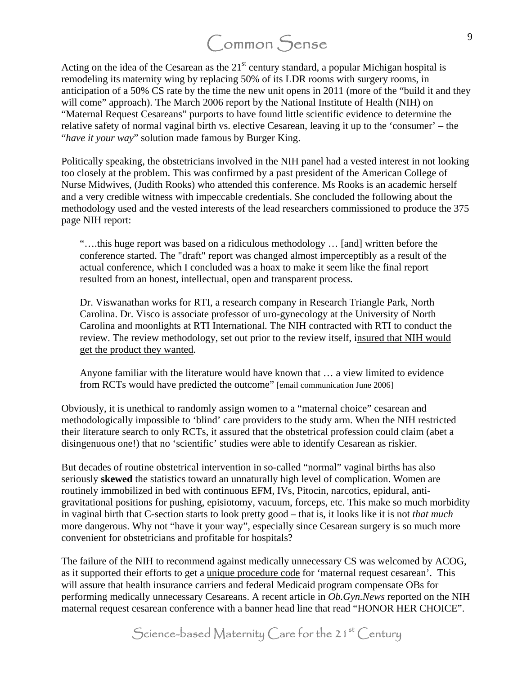Acting on the idea of the Cesarean as the  $21<sup>st</sup>$  century standard, a popular Michigan hospital is remodeling its maternity wing by replacing 50% of its LDR rooms with surgery rooms, in anticipation of a 50% CS rate by the time the new unit opens in 2011 (more of the "build it and they will come" approach). The March 2006 report by the National Institute of Health (NIH) on "Maternal Request Cesareans" purports to have found little scientific evidence to determine the relative safety of normal vaginal birth vs. elective Cesarean, leaving it up to the 'consumer' – the "*have it your way*" solution made famous by Burger King.

Politically speaking, the obstetricians involved in the NIH panel had a vested interest in not looking too closely at the problem. This was confirmed by a past president of the American College of Nurse Midwives, (Judith Rooks) who attended this conference. Ms Rooks is an academic herself and a very credible witness with impeccable credentials. She concluded the following about the methodology used and the vested interests of the lead researchers commissioned to produce the 375 page NIH report:

"….this huge report was based on a ridiculous methodology … [and] written before the conference started. The "draft" report was changed almost imperceptibly as a result of the actual conference, which I concluded was a hoax to make it seem like the final report resulted from an honest, intellectual, open and transparent process.

Dr. Viswanathan works for RTI, a research company in Research Triangle Park, North Carolina. Dr. Visco is associate professor of uro-gynecology at the University of North Carolina and moonlights at RTI International. The NIH contracted with RTI to conduct the review. The review methodology, set out prior to the review itself, insured that NIH would get the product they wanted.

Anyone familiar with the literature would have known that … a view limited to evidence from RCTs would have predicted the outcome" [email communication June 2006]

Obviously, it is unethical to randomly assign women to a "maternal choice" cesarean and methodologically impossible to 'blind' care providers to the study arm. When the NIH restricted their literature search to only RCTs, it assured that the obstetrical profession could claim (abet a disingenuous one!) that no 'scientific' studies were able to identify Cesarean as riskier.

But decades of routine obstetrical intervention in so-called "normal" vaginal births has also seriously **skewed** the statistics toward an unnaturally high level of complication. Women are routinely immobilized in bed with continuous EFM, IVs, Pitocin, narcotics, epidural, antigravitational positions for pushing, episiotomy, vacuum, forceps, etc. This make so much morbidity in vaginal birth that C-section starts to look pretty good – that is, it looks like it is not *that much* more dangerous. Why not "have it your way", especially since Cesarean surgery is so much more convenient for obstetricians and profitable for hospitals?

The failure of the NIH to recommend against medically unnecessary CS was welcomed by ACOG, as it supported their efforts to get a unique procedure code for 'maternal request cesarean'. This will assure that health insurance carriers and federal Medicaid program compensate OBs for performing medically unnecessary Cesareans. A recent article in *Ob.Gyn.News* reported on the NIH maternal request cesarean conference with a banner head line that read "HONOR HER CHOICE".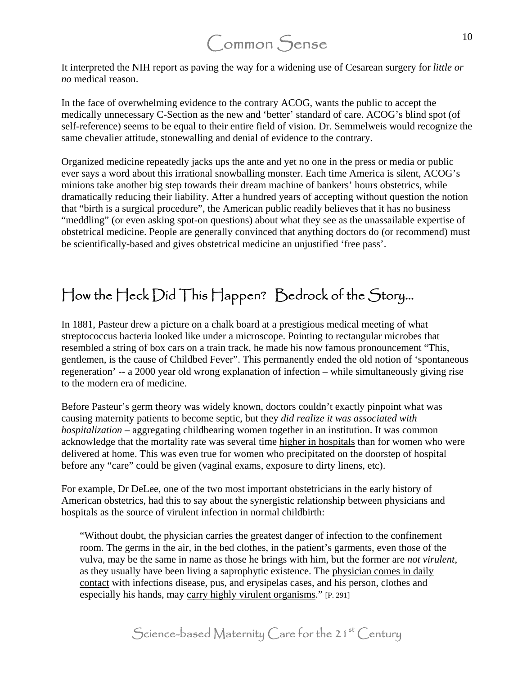It interpreted the NIH report as paving the way for a widening use of Cesarean surgery for *little or no* medical reason.

In the face of overwhelming evidence to the contrary ACOG, wants the public to accept the medically unnecessary C-Section as the new and 'better' standard of care. ACOG's blind spot (of self-reference) seems to be equal to their entire field of vision. Dr. Semmelweis would recognize the same chevalier attitude, stonewalling and denial of evidence to the contrary.

Organized medicine repeatedly jacks ups the ante and yet no one in the press or media or public ever says a word about this irrational snowballing monster. Each time America is silent, ACOG's minions take another big step towards their dream machine of bankers' hours obstetrics, while dramatically reducing their liability. After a hundred years of accepting without question the notion that "birth is a surgical procedure", the American public readily believes that it has no business "meddling" (or even asking spot-on questions) about what they see as the unassailable expertise of obstetrical medicine. People are generally convinced that anything doctors do (or recommend) must be scientifically-based and gives obstetrical medicine an unjustified 'free pass'.

#### How the Heck Did This Happen? Bedrock of the Story…

In 1881, Pasteur drew a picture on a chalk board at a prestigious medical meeting of what streptococcus bacteria looked like under a microscope. Pointing to rectangular microbes that resembled a string of box cars on a train track, he made his now famous pronouncement "This, gentlemen, is the cause of Childbed Fever". This permanently ended the old notion of 'spontaneous regeneration' -- a 2000 year old wrong explanation of infection – while simultaneously giving rise to the modern era of medicine.

Before Pasteur's germ theory was widely known, doctors couldn't exactly pinpoint what was causing maternity patients to become septic, but they *did realize it was associated with hospitalization* – aggregating childbearing women together in an institution. It was common acknowledge that the mortality rate was several time higher in hospitals than for women who were delivered at home. This was even true for women who precipitated on the doorstep of hospital before any "care" could be given (vaginal exams, exposure to dirty linens, etc).

For example, Dr DeLee, one of the two most important obstetricians in the early history of American obstetrics, had this to say about the synergistic relationship between physicians and hospitals as the source of virulent infection in normal childbirth:

"Without doubt, the physician carries the greatest danger of infection to the confinement room. The germs in the air, in the bed clothes, in the patient's garments, even those of the vulva, may be the same in name as those he brings with him, but the former are *not virulent*, as they usually have been living a saprophytic existence. The physician comes in daily contact with infections disease, pus, and erysipelas cases, and his person, clothes and especially his hands, may carry highly virulent organisms." [P. 291]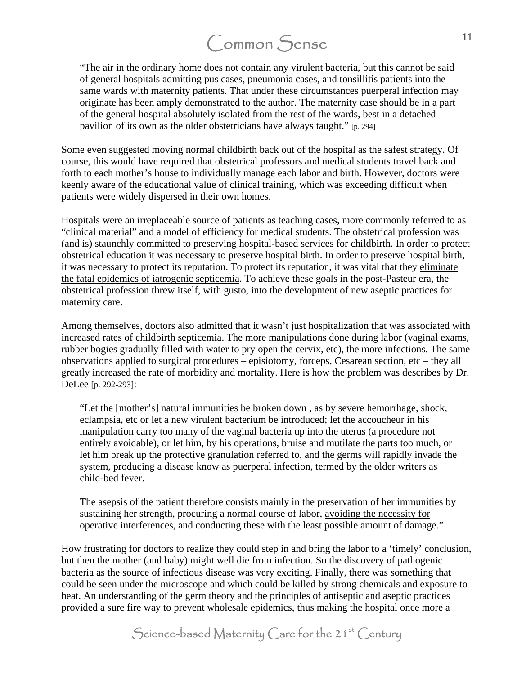"The air in the ordinary home does not contain any virulent bacteria, but this cannot be said of general hospitals admitting pus cases, pneumonia cases, and tonsillitis patients into the same wards with maternity patients. That under these circumstances puerperal infection may originate has been amply demonstrated to the author. The maternity case should be in a part of the general hospital absolutely isolated from the rest of the wards, best in a detached pavilion of its own as the older obstetricians have always taught." [p. 294]

Some even suggested moving normal childbirth back out of the hospital as the safest strategy. Of course, this would have required that obstetrical professors and medical students travel back and forth to each mother's house to individually manage each labor and birth. However, doctors were keenly aware of the educational value of clinical training, which was exceeding difficult when patients were widely dispersed in their own homes.

Hospitals were an irreplaceable source of patients as teaching cases, more commonly referred to as "clinical material" and a model of efficiency for medical students. The obstetrical profession was (and is) staunchly committed to preserving hospital-based services for childbirth. In order to protect obstetrical education it was necessary to preserve hospital birth. In order to preserve hospital birth, it was necessary to protect its reputation. To protect its reputation, it was vital that they eliminate the fatal epidemics of iatrogenic septicemia. To achieve these goals in the post-Pasteur era, the obstetrical profession threw itself, with gusto, into the development of new aseptic practices for maternity care.

Among themselves, doctors also admitted that it wasn't just hospitalization that was associated with increased rates of childbirth septicemia. The more manipulations done during labor (vaginal exams, rubber bogies gradually filled with water to pry open the cervix, etc), the more infections. The same observations applied to surgical procedures – episiotomy, forceps, Cesarean section, etc – they all greatly increased the rate of morbidity and mortality. Here is how the problem was describes by Dr. DeLee [p. 292-293]:

"Let the [mother's] natural immunities be broken down , as by severe hemorrhage, shock, eclampsia, etc or let a new virulent bacterium be introduced; let the accoucheur in his manipulation carry too many of the vaginal bacteria up into the uterus (a procedure not entirely avoidable), or let him, by his operations, bruise and mutilate the parts too much, or let him break up the protective granulation referred to, and the germs will rapidly invade the system, producing a disease know as puerperal infection, termed by the older writers as child-bed fever.

The asepsis of the patient therefore consists mainly in the preservation of her immunities by sustaining her strength, procuring a normal course of labor, avoiding the necessity for operative interferences, and conducting these with the least possible amount of damage."

How frustrating for doctors to realize they could step in and bring the labor to a 'timely' conclusion, but then the mother (and baby) might well die from infection. So the discovery of pathogenic bacteria as the source of infectious disease was very exciting. Finally, there was something that could be seen under the microscope and which could be killed by strong chemicals and exposure to heat. An understanding of the germ theory and the principles of antiseptic and aseptic practices provided a sure fire way to prevent wholesale epidemics, thus making the hospital once more a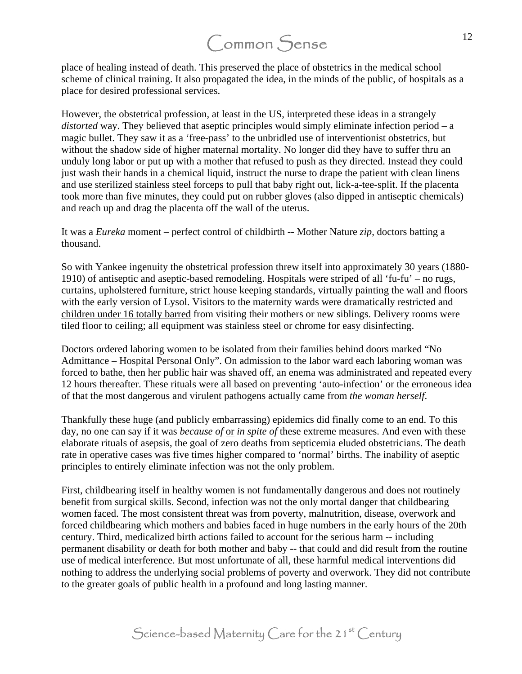place of healing instead of death. This preserved the place of obstetrics in the medical school scheme of clinical training. It also propagated the idea, in the minds of the public, of hospitals as a place for desired professional services.

However, the obstetrical profession, at least in the US, interpreted these ideas in a strangely *distorted* way. They believed that aseptic principles would simply eliminate infection period – a magic bullet. They saw it as a 'free-pass' to the unbridled use of interventionist obstetrics, but without the shadow side of higher maternal mortality. No longer did they have to suffer thru an unduly long labor or put up with a mother that refused to push as they directed. Instead they could just wash their hands in a chemical liquid, instruct the nurse to drape the patient with clean linens and use sterilized stainless steel forceps to pull that baby right out, lick-a-tee-split. If the placenta took more than five minutes, they could put on rubber gloves (also dipped in antiseptic chemicals) and reach up and drag the placenta off the wall of the uterus.

It was a *Eureka* moment – perfect control of childbirth -- Mother Nature *zip*, doctors batting a thousand.

So with Yankee ingenuity the obstetrical profession threw itself into approximately 30 years (1880- 1910) of antiseptic and aseptic-based remodeling. Hospitals were striped of all 'fu-fu' – no rugs, curtains, upholstered furniture, strict house keeping standards, virtually painting the wall and floors with the early version of Lysol. Visitors to the maternity wards were dramatically restricted and children under 16 totally barred from visiting their mothers or new siblings. Delivery rooms were tiled floor to ceiling; all equipment was stainless steel or chrome for easy disinfecting.

Doctors ordered laboring women to be isolated from their families behind doors marked "No Admittance – Hospital Personal Only". On admission to the labor ward each laboring woman was forced to bathe, then her public hair was shaved off, an enema was administrated and repeated every 12 hours thereafter. These rituals were all based on preventing 'auto-infection' or the erroneous idea of that the most dangerous and virulent pathogens actually came from *the woman herself*.

Thankfully these huge (and publicly embarrassing) epidemics did finally come to an end. To this day, no one can say if it was *because of* or *in spite of* these extreme measures. And even with these elaborate rituals of asepsis, the goal of zero deaths from septicemia eluded obstetricians. The death rate in operative cases was five times higher compared to 'normal' births. The inability of aseptic principles to entirely eliminate infection was not the only problem.

First, childbearing itself in healthy women is not fundamentally dangerous and does not routinely benefit from surgical skills. Second, infection was not the only mortal danger that childbearing women faced. The most consistent threat was from poverty, malnutrition, disease, overwork and forced childbearing which mothers and babies faced in huge numbers in the early hours of the 20th century. Third, medicalized birth actions failed to account for the serious harm -- including permanent disability or death for both mother and baby -- that could and did result from the routine use of medical interference. But most unfortunate of all, these harmful medical interventions did nothing to address the underlying social problems of poverty and overwork. They did not contribute to the greater goals of public health in a profound and long lasting manner.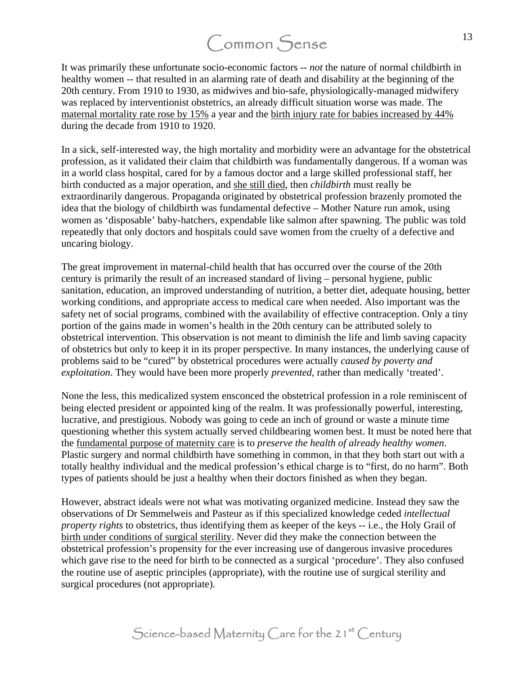It was primarily these unfortunate socio-economic factors -- *not* the nature of normal childbirth in healthy women -- that resulted in an alarming rate of death and disability at the beginning of the 20th century. From 1910 to 1930, as midwives and bio-safe, physiologically-managed midwifery was replaced by interventionist obstetrics, an already difficult situation worse was made. The maternal mortality rate rose by 15% a year and the birth injury rate for babies increased by 44% during the decade from 1910 to 1920.

In a sick, self-interested way, the high mortality and morbidity were an advantage for the obstetrical profession, as it validated their claim that childbirth was fundamentally dangerous. If a woman was in a world class hospital, cared for by a famous doctor and a large skilled professional staff, her birth conducted as a major operation, and she still died, then *childbirth* must really be extraordinarily dangerous. Propaganda originated by obstetrical profession brazenly promoted the idea that the biology of childbirth was fundamental defective – Mother Nature run amok, using women as 'disposable' baby-hatchers, expendable like salmon after spawning. The public was told repeatedly that only doctors and hospitals could save women from the cruelty of a defective and uncaring biology.

The great improvement in maternal-child health that has occurred over the course of the 20th century is primarily the result of an increased standard of living – personal hygiene, public sanitation, education, an improved understanding of nutrition, a better diet, adequate housing, better working conditions, and appropriate access to medical care when needed. Also important was the safety net of social programs, combined with the availability of effective contraception. Only a tiny portion of the gains made in women's health in the 20th century can be attributed solely to obstetrical intervention. This observation is not meant to diminish the life and limb saving capacity of obstetrics but only to keep it in its proper perspective. In many instances, the underlying cause of problems said to be "cured" by obstetrical procedures were actually *caused by poverty and exploitation*. They would have been more properly *prevented*, rather than medically 'treated'.

None the less, this medicalized system ensconced the obstetrical profession in a role reminiscent of being elected president or appointed king of the realm. It was professionally powerful, interesting, lucrative, and prestigious. Nobody was going to cede an inch of ground or waste a minute time questioning whether this system actually served childbearing women best. It must be noted here that the fundamental purpose of maternity care is to *preserve the health of already healthy women*. Plastic surgery and normal childbirth have something in common, in that they both start out with a totally healthy individual and the medical profession's ethical charge is to "first, do no harm". Both types of patients should be just a healthy when their doctors finished as when they began.

However, abstract ideals were not what was motivating organized medicine. Instead they saw the observations of Dr Semmelweis and Pasteur as if this specialized knowledge ceded *intellectual property rights* to obstetrics, thus identifying them as keeper of the keys -- i.e., the Holy Grail of birth under conditions of surgical sterility. Never did they make the connection between the obstetrical profession's propensity for the ever increasing use of dangerous invasive procedures which gave rise to the need for birth to be connected as a surgical 'procedure'. They also confused the routine use of aseptic principles (appropriate), with the routine use of surgical sterility and surgical procedures (not appropriate).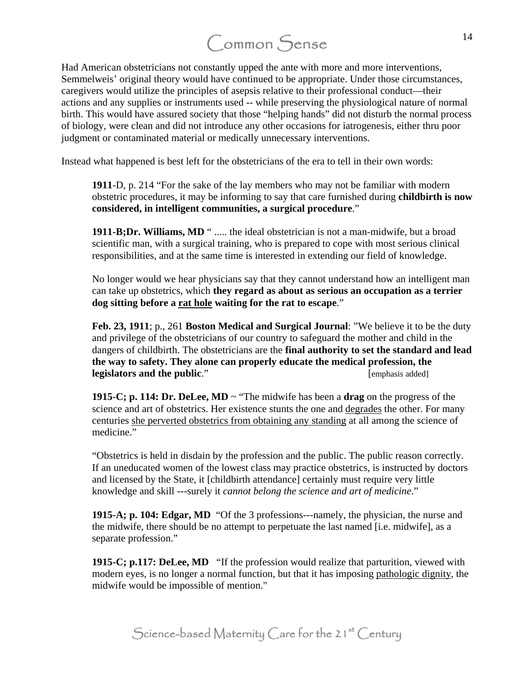Had American obstetricians not constantly upped the ante with more and more interventions, Semmelweis' original theory would have continued to be appropriate. Under those circumstances, caregivers would utilize the principles of asepsis relative to their professional conduct—their actions and any supplies or instruments used -- while preserving the physiological nature of normal birth. This would have assured society that those "helping hands" did not disturb the normal process of biology, were clean and did not introduce any other occasions for iatrogenesis, either thru poor judgment or contaminated material or medically unnecessary interventions.

Instead what happened is best left for the obstetricians of the era to tell in their own words:

**1911**-D, p. 214 "For the sake of the lay members who may not be familiar with modern obstetric procedures, it may be informing to say that care furnished during **childbirth is now considered, in intelligent communities, a surgical procedure**."

**1911-B;Dr. Williams, MD** " ..... the ideal obstetrician is not a man-midwife, but a broad scientific man, with a surgical training, who is prepared to cope with most serious clinical responsibilities, and at the same time is interested in extending our field of knowledge.

No longer would we hear physicians say that they cannot understand how an intelligent man can take up obstetrics, which **they regard as about as serious an occupation as a terrier dog sitting before a rat hole waiting for the rat to escape**."

**Feb. 23, 1911**; p., 261 **Boston Medical and Surgical Journal**: "We believe it to be the duty and privilege of the obstetricians of our country to safeguard the mother and child in the dangers of childbirth. The obstetricians are the **final authority to set the standard and lead the way to safety. They alone can properly educate the medical profession, the legislators and the public."** [emphasis added]

**1915-C; p. 114: Dr. DeLee, MD** ~ "The midwife has been a **drag** on the progress of the science and art of obstetrics. Her existence stunts the one and degrades the other. For many centuries she perverted obstetrics from obtaining any standing at all among the science of medicine."

"Obstetrics is held in disdain by the profession and the public. The public reason correctly. If an uneducated women of the lowest class may practice obstetrics, is instructed by doctors and licensed by the State, it [childbirth attendance] certainly must require very little knowledge and skill ---surely it *cannot belong the science and art of medicine*."

**1915-A; p. 104: Edgar, MD** "Of the 3 professions---namely, the physician, the nurse and the midwife, there should be no attempt to perpetuate the last named [i.e. midwife], as a separate profession."

**1915-C; p.117: DeLee, MD** "If the profession would realize that parturition, viewed with modern eyes, is no longer a normal function, but that it has imposing pathologic dignity, the midwife would be impossible of mention."

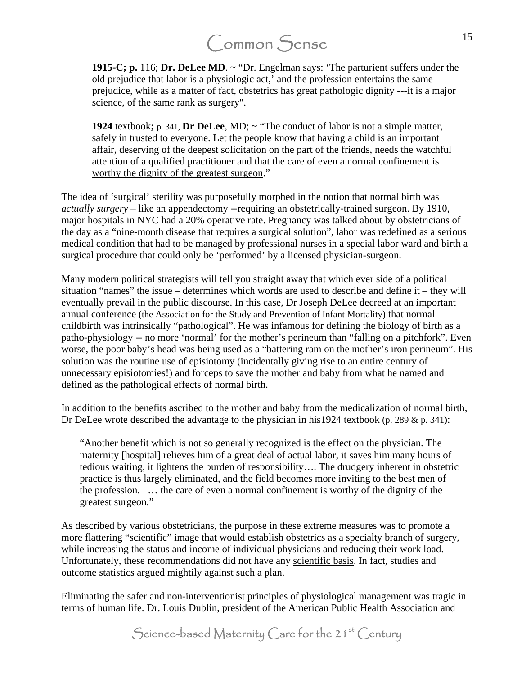**1915-C; p.** 116; Dr. DeLee MD. ~ "Dr. Engelman says: "The parturient suffers under the old prejudice that labor is a physiologic act,' and the profession entertains the same prejudice, while as a matter of fact, obstetrics has great pathologic dignity ---it is a major science, of the same rank as surgery".

**1924** textbook**;** p. 341, **Dr DeLee**, MD; ~ "The conduct of labor is not a simple matter, safely in trusted to everyone. Let the people know that having a child is an important affair, deserving of the deepest solicitation on the part of the friends, needs the watchful attention of a qualified practitioner and that the care of even a normal confinement is worthy the dignity of the greatest surgeon."

The idea of 'surgical' sterility was purposefully morphed in the notion that normal birth was *actually surgery* – like an appendectomy --requiring an obstetrically-trained surgeon. By 1910, major hospitals in NYC had a 20% operative rate. Pregnancy was talked about by obstetricians of the day as a "nine-month disease that requires a surgical solution", labor was redefined as a serious medical condition that had to be managed by professional nurses in a special labor ward and birth a surgical procedure that could only be 'performed' by a licensed physician-surgeon.

Many modern political strategists will tell you straight away that which ever side of a political situation "names" the issue – determines which words are used to describe and define it – they will eventually prevail in the public discourse. In this case, Dr Joseph DeLee decreed at an important annual conference (the Association for the Study and Prevention of Infant Mortality) that normal childbirth was intrinsically "pathological". He was infamous for defining the biology of birth as a patho-physiology -- no more 'normal' for the mother's perineum than "falling on a pitchfork". Even worse, the poor baby's head was being used as a "battering ram on the mother's iron perineum". His solution was the routine use of episiotomy (incidentally giving rise to an entire century of unnecessary episiotomies!) and forceps to save the mother and baby from what he named and defined as the pathological effects of normal birth.

In addition to the benefits ascribed to the mother and baby from the medicalization of normal birth, Dr DeLee wrote described the advantage to the physician in his1924 textbook (p. 289 & p. 341):

"Another benefit which is not so generally recognized is the effect on the physician. The maternity [hospital] relieves him of a great deal of actual labor, it saves him many hours of tedious waiting, it lightens the burden of responsibility…. The drudgery inherent in obstetric practice is thus largely eliminated, and the field becomes more inviting to the best men of the profession. … the care of even a normal confinement is worthy of the dignity of the greatest surgeon."

As described by various obstetricians, the purpose in these extreme measures was to promote a more flattering "scientific" image that would establish obstetrics as a specialty branch of surgery, while increasing the status and income of individual physicians and reducing their work load. Unfortunately, these recommendations did not have any scientific basis. In fact, studies and outcome statistics argued mightily against such a plan.

Eliminating the safer and non-interventionist principles of physiological management was tragic in terms of human life. Dr. Louis Dublin, president of the American Public Health Association and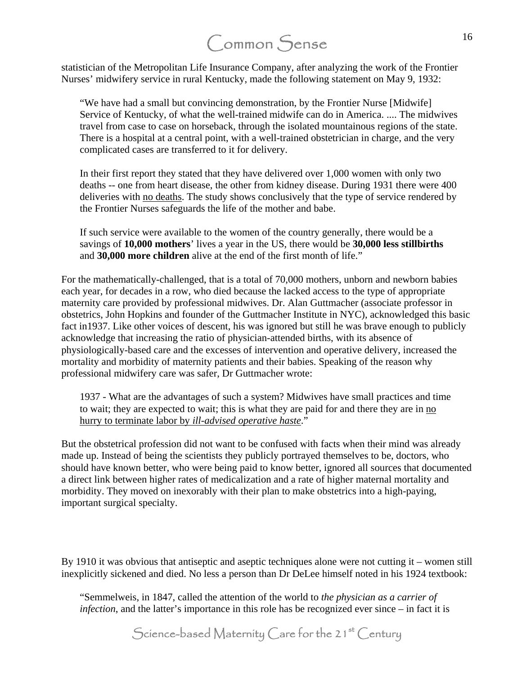statistician of the Metropolitan Life Insurance Company, after analyzing the work of the Frontier Nurses' midwifery service in rural Kentucky, made the following statement on May 9, 1932:

"We have had a small but convincing demonstration, by the Frontier Nurse [Midwife] Service of Kentucky, of what the well-trained midwife can do in America. .... The midwives travel from case to case on horseback, through the isolated mountainous regions of the state. There is a hospital at a central point, with a well-trained obstetrician in charge, and the very complicated cases are transferred to it for delivery.

In their first report they stated that they have delivered over 1,000 women with only two deaths -- one from heart disease, the other from kidney disease. During 1931 there were 400 deliveries with no deaths. The study shows conclusively that the type of service rendered by the Frontier Nurses safeguards the life of the mother and babe.

If such service were available to the women of the country generally, there would be a savings of **10,000 mothers**' lives a year in the US, there would be **30,000 less stillbirths**  and **30,000 more children** alive at the end of the first month of life."

For the mathematically-challenged, that is a total of 70,000 mothers, unborn and newborn babies each year, for decades in a row, who died because the lacked access to the type of appropriate maternity care provided by professional midwives. Dr. Alan Guttmacher (associate professor in obstetrics, John Hopkins and founder of the Guttmacher Institute in NYC), acknowledged this basic fact in1937. Like other voices of descent, his was ignored but still he was brave enough to publicly acknowledge that increasing the ratio of physician-attended births, with its absence of physiologically-based care and the excesses of intervention and operative delivery, increased the mortality and morbidity of maternity patients and their babies. Speaking of the reason why professional midwifery care was safer, Dr Guttmacher wrote:

1937 - What are the advantages of such a system? Midwives have small practices and time to wait; they are expected to wait; this is what they are paid for and there they are in no hurry to terminate labor by *ill-advised operative haste*."

But the obstetrical profession did not want to be confused with facts when their mind was already made up. Instead of being the scientists they publicly portrayed themselves to be, doctors, who should have known better, who were being paid to know better, ignored all sources that documented a direct link between higher rates of medicalization and a rate of higher maternal mortality and morbidity. They moved on inexorably with their plan to make obstetrics into a high-paying, important surgical specialty.

By 1910 it was obvious that antiseptic and aseptic techniques alone were not cutting it – women still inexplicitly sickened and died. No less a person than Dr DeLee himself noted in his 1924 textbook:

"Semmelweis, in 1847, called the attention of the world to *the physician as a carrier of infection*, and the latter's importance in this role has be recognized ever since – in fact it is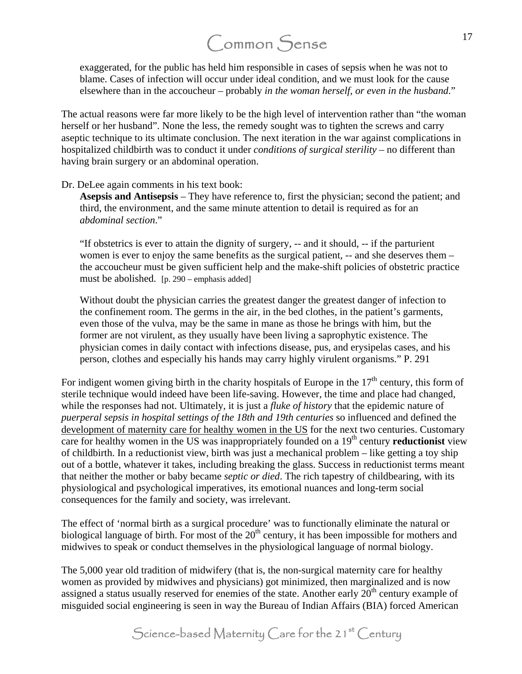exaggerated, for the public has held him responsible in cases of sepsis when he was not to blame. Cases of infection will occur under ideal condition, and we must look for the cause elsewhere than in the accoucheur – probably *in the woman herself, or even in the husband*."

The actual reasons were far more likely to be the high level of intervention rather than "the woman herself or her husband". None the less, the remedy sought was to tighten the screws and carry aseptic technique to its ultimate conclusion. The next iteration in the war against complications in hospitalized childbirth was to conduct it under *conditions of surgical sterility* – no different than having brain surgery or an abdominal operation.

#### Dr. DeLee again comments in his text book:

**Asepsis and Antisepsis** – They have reference to, first the physician; second the patient; and third, the environment, and the same minute attention to detail is required as for an *abdominal section*."

"If obstetrics is ever to attain the dignity of surgery, -- and it should, -- if the parturient women is ever to enjoy the same benefits as the surgical patient, -- and she deserves them – the accoucheur must be given sufficient help and the make-shift policies of obstetric practice must be abolished. [p. 290 – emphasis added]

Without doubt the physician carries the greatest danger the greatest danger of infection to the confinement room. The germs in the air, in the bed clothes, in the patient's garments, even those of the vulva, may be the same in mane as those he brings with him, but the former are not virulent, as they usually have been living a saprophytic existence. The physician comes in daily contact with infections disease, pus, and erysipelas cases, and his person, clothes and especially his hands may carry highly virulent organisms." P. 291

For indigent women giving birth in the charity hospitals of Europe in the  $17<sup>th</sup>$  century, this form of sterile technique would indeed have been life-saving. However, the time and place had changed, while the responses had not. Ultimately, it is just a *fluke of history* that the epidemic nature of *puerperal sepsis in hospital settings of the 18th and 19th centuries* so influenced and defined the development of maternity care for healthy women in the US for the next two centuries. Customary care for healthy women in the US was inappropriately founded on a 19<sup>th</sup> century **reductionist** view of childbirth. In a reductionist view, birth was just a mechanical problem – like getting a toy ship out of a bottle, whatever it takes, including breaking the glass. Success in reductionist terms meant that neither the mother or baby became *septic or died*. The rich tapestry of childbearing, with its physiological and psychological imperatives, its emotional nuances and long-term social consequences for the family and society, was irrelevant.

The effect of 'normal birth as a surgical procedure' was to functionally eliminate the natural or biological language of birth. For most of the  $20<sup>th</sup>$  century, it has been impossible for mothers and midwives to speak or conduct themselves in the physiological language of normal biology.

The 5,000 year old tradition of midwifery (that is, the non-surgical maternity care for healthy women as provided by midwives and physicians) got minimized, then marginalized and is now assigned a status usually reserved for enemies of the state. Another early  $20<sup>th</sup>$  century example of misguided social engineering is seen in way the Bureau of Indian Affairs (BIA) forced American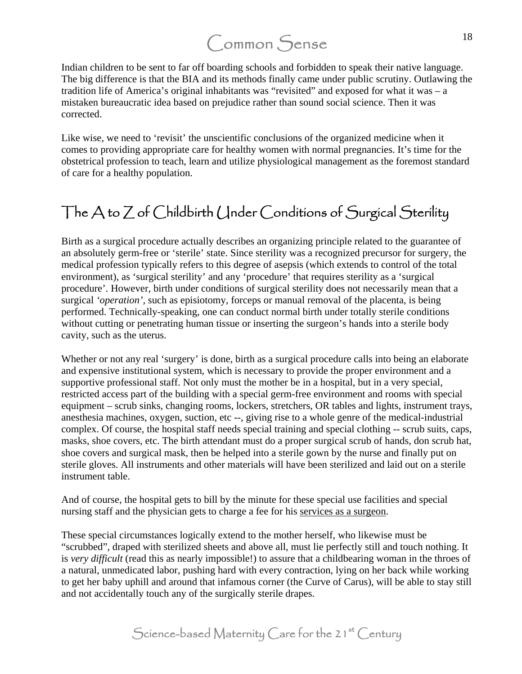Indian children to be sent to far off boarding schools and forbidden to speak their native language. The big difference is that the BIA and its methods finally came under public scrutiny. Outlawing the tradition life of America's original inhabitants was "revisited" and exposed for what it was  $-$  a mistaken bureaucratic idea based on prejudice rather than sound social science. Then it was corrected.

Like wise, we need to 'revisit' the unscientific conclusions of the organized medicine when it comes to providing appropriate care for healthy women with normal pregnancies. It's time for the obstetrical profession to teach, learn and utilize physiological management as the foremost standard of care for a healthy population.

#### The A to Z of Childbirth Under Conditions of Surgical Sterility

Birth as a surgical procedure actually describes an organizing principle related to the guarantee of an absolutely germ-free or 'sterile' state. Since sterility was a recognized precursor for surgery, the medical profession typically refers to this degree of asepsis (which extends to control of the total environment), as 'surgical sterility' and any 'procedure' that requires sterility as a 'surgical procedure'. However, birth under conditions of surgical sterility does not necessarily mean that a surgical *'operation',* such as episiotomy, forceps or manual removal of the placenta, is being performed. Technically-speaking, one can conduct normal birth under totally sterile conditions without cutting or penetrating human tissue or inserting the surgeon's hands into a sterile body cavity, such as the uterus.

Whether or not any real 'surgery' is done, birth as a surgical procedure calls into being an elaborate and expensive institutional system, which is necessary to provide the proper environment and a supportive professional staff. Not only must the mother be in a hospital, but in a very special, restricted access part of the building with a special germ-free environment and rooms with special equipment – scrub sinks, changing rooms, lockers, stretchers, OR tables and lights, instrument trays, anesthesia machines, oxygen, suction, etc --, giving rise to a whole genre of the medical-industrial complex. Of course, the hospital staff needs special training and special clothing -- scrub suits, caps, masks, shoe covers, etc. The birth attendant must do a proper surgical scrub of hands, don scrub hat, shoe covers and surgical mask, then be helped into a sterile gown by the nurse and finally put on sterile gloves. All instruments and other materials will have been sterilized and laid out on a sterile instrument table.

And of course, the hospital gets to bill by the minute for these special use facilities and special nursing staff and the physician gets to charge a fee for his services as a surgeon.

These special circumstances logically extend to the mother herself, who likewise must be "scrubbed", draped with sterilized sheets and above all, must lie perfectly still and touch nothing. It is *very difficult* (read this as nearly impossible!) to assure that a childbearing woman in the throes of a natural, unmedicated labor, pushing hard with every contraction, lying on her back while working to get her baby uphill and around that infamous corner (the Curve of Carus), will be able to stay still and not accidentally touch any of the surgically sterile drapes.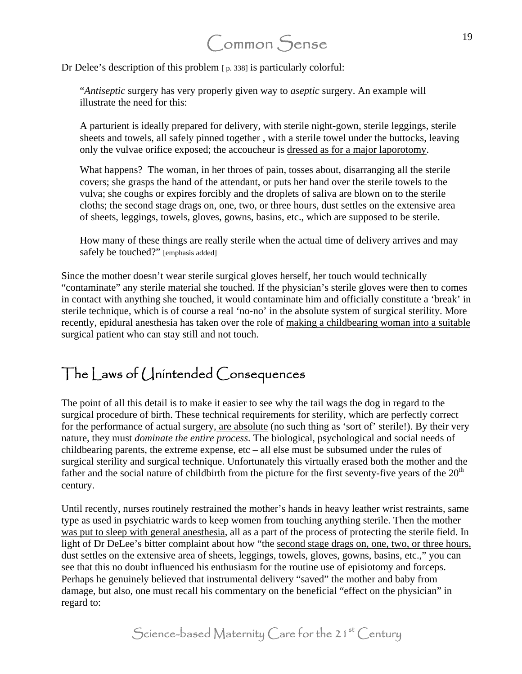Dr Delee's description of this problem [ p. 338] is particularly colorful:

"*Antiseptic* surgery has very properly given way to *aseptic* surgery. An example will illustrate the need for this:

A parturient is ideally prepared for delivery, with sterile night-gown, sterile leggings, sterile sheets and towels, all safely pinned together , with a sterile towel under the buttocks, leaving only the vulvae orifice exposed; the accoucheur is dressed as for a major laporotomy.

What happens? The woman, in her throes of pain, tosses about, disarranging all the sterile covers; she grasps the hand of the attendant, or puts her hand over the sterile towels to the vulva; she coughs or expires forcibly and the droplets of saliva are blown on to the sterile cloths; the second stage drags on, one, two, or three hours, dust settles on the extensive area of sheets, leggings, towels, gloves, gowns, basins, etc., which are supposed to be sterile.

How many of these things are really sterile when the actual time of delivery arrives and may safely be touched?" [emphasis added]

Since the mother doesn't wear sterile surgical gloves herself, her touch would technically "contaminate" any sterile material she touched. If the physician's sterile gloves were then to comes in contact with anything she touched, it would contaminate him and officially constitute a 'break' in sterile technique, which is of course a real 'no-no' in the absolute system of surgical sterility. More recently, epidural anesthesia has taken over the role of making a childbearing woman into a suitable surgical patient who can stay still and not touch.

#### The Laws of Unintended Consequences

The point of all this detail is to make it easier to see why the tail wags the dog in regard to the surgical procedure of birth. These technical requirements for sterility, which are perfectly correct for the performance of actual surgery, are absolute (no such thing as 'sort of' sterile!). By their very nature, they must *dominate the entire process*. The biological, psychological and social needs of childbearing parents, the extreme expense, etc – all else must be subsumed under the rules of surgical sterility and surgical technique. Unfortunately this virtually erased both the mother and the father and the social nature of childbirth from the picture for the first seventy-five years of the  $20<sup>th</sup>$ century.

Until recently, nurses routinely restrained the mother's hands in heavy leather wrist restraints, same type as used in psychiatric wards to keep women from touching anything sterile. Then the mother was put to sleep with general anesthesia, all as a part of the process of protecting the sterile field. In light of Dr DeLee's bitter complaint about how "the second stage drags on, one, two, or three hours, dust settles on the extensive area of sheets, leggings, towels, gloves, gowns, basins, etc.," you can see that this no doubt influenced his enthusiasm for the routine use of episiotomy and forceps. Perhaps he genuinely believed that instrumental delivery "saved" the mother and baby from damage, but also, one must recall his commentary on the beneficial "effect on the physician" in regard to: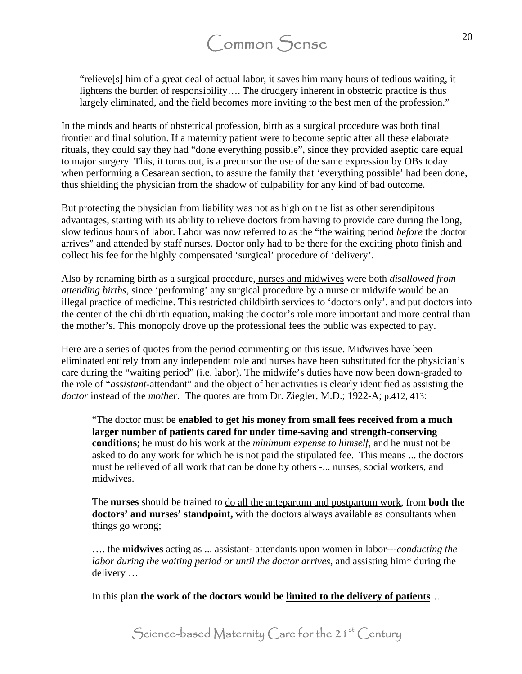"relieve[s] him of a great deal of actual labor, it saves him many hours of tedious waiting, it lightens the burden of responsibility…. The drudgery inherent in obstetric practice is thus largely eliminated, and the field becomes more inviting to the best men of the profession."

In the minds and hearts of obstetrical profession, birth as a surgical procedure was both final frontier and final solution. If a maternity patient were to become septic after all these elaborate rituals, they could say they had "done everything possible", since they provided aseptic care equal to major surgery. This, it turns out, is a precursor the use of the same expression by OBs today when performing a Cesarean section, to assure the family that 'everything possible' had been done, thus shielding the physician from the shadow of culpability for any kind of bad outcome.

But protecting the physician from liability was not as high on the list as other serendipitous advantages, starting with its ability to relieve doctors from having to provide care during the long, slow tedious hours of labor. Labor was now referred to as the "the waiting period *before* the doctor arrives" and attended by staff nurses. Doctor only had to be there for the exciting photo finish and collect his fee for the highly compensated 'surgical' procedure of 'delivery'.

Also by renaming birth as a surgical procedure, nurses and midwives were both *disallowed from attending births*, since 'performing' any surgical procedure by a nurse or midwife would be an illegal practice of medicine. This restricted childbirth services to 'doctors only', and put doctors into the center of the childbirth equation, making the doctor's role more important and more central than the mother's. This monopoly drove up the professional fees the public was expected to pay.

Here are a series of quotes from the period commenting on this issue. Midwives have been eliminated entirely from any independent role and nurses have been substituted for the physician's care during the "waiting period" (i.e. labor). The midwife's duties have now been down-graded to the role of "*assistant*-attendant" and the object of her activities is clearly identified as assisting the *doctor* instead of the *mother*. The quotes are from Dr. Ziegler, M.D.; 1922-A; p.412, 413:

"The doctor must be **enabled to get his money from small fees received from a much larger number of patients cared for under time-saving and strength-conserving conditions**; he must do his work at the *minimum expense to himself*, and he must not be asked to do any work for which he is not paid the stipulated fee. This means ... the doctors must be relieved of all work that can be done by others -... nurses, social workers, and midwives.

The **nurses** should be trained to do all the antepartum and postpartum work, from **both the doctors' and nurses' standpoint,** with the doctors always available as consultants when things go wrong;

…. the **midwives** acting as ... assistant- attendants upon women in labor---*conducting the labor during the waiting period or until the doctor arrives*, and assisting him\* during the delivery …

In this plan **the work of the doctors would be limited to the delivery of patients**…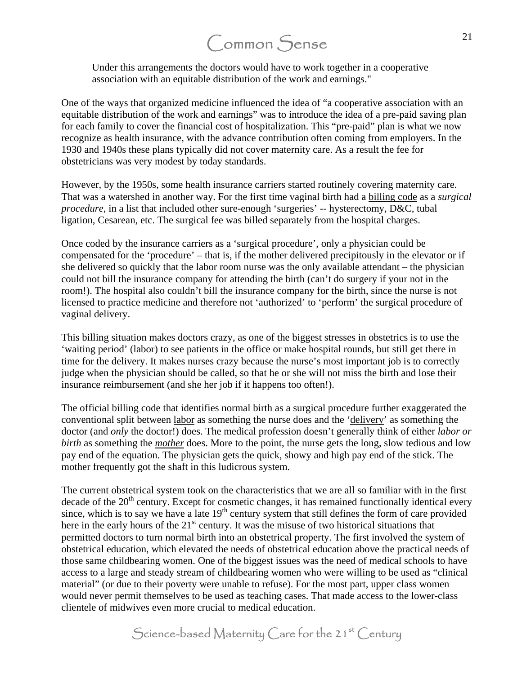Under this arrangements the doctors would have to work together in a cooperative association with an equitable distribution of the work and earnings."

One of the ways that organized medicine influenced the idea of "a cooperative association with an equitable distribution of the work and earnings" was to introduce the idea of a pre-paid saving plan for each family to cover the financial cost of hospitalization. This "pre-paid" plan is what we now recognize as health insurance, with the advance contribution often coming from employers. In the 1930 and 1940s these plans typically did not cover maternity care. As a result the fee for obstetricians was very modest by today standards.

However, by the 1950s, some health insurance carriers started routinely covering maternity care. That was a watershed in another way. For the first time vaginal birth had a billing code as a *surgical procedure*, in a list that included other sure-enough 'surgeries' -- hysterectomy, D&C, tubal ligation, Cesarean, etc. The surgical fee was billed separately from the hospital charges.

Once coded by the insurance carriers as a 'surgical procedure', only a physician could be compensated for the 'procedure' – that is, if the mother delivered precipitously in the elevator or if she delivered so quickly that the labor room nurse was the only available attendant – the physician could not bill the insurance company for attending the birth (can't do surgery if your not in the room!). The hospital also couldn't bill the insurance company for the birth, since the nurse is not licensed to practice medicine and therefore not 'authorized' to 'perform' the surgical procedure of vaginal delivery.

This billing situation makes doctors crazy, as one of the biggest stresses in obstetrics is to use the 'waiting period' (labor) to see patients in the office or make hospital rounds, but still get there in time for the delivery. It makes nurses crazy because the nurse's most important job is to correctly judge when the physician should be called, so that he or she will not miss the birth and lose their insurance reimbursement (and she her job if it happens too often!).

The official billing code that identifies normal birth as a surgical procedure further exaggerated the conventional split between labor as something the nurse does and the 'delivery' as something the doctor (and *only* the doctor!) does. The medical profession doesn't generally think of either *labor or birth* as something the *mother* does. More to the point, the nurse gets the long, slow tedious and low pay end of the equation. The physician gets the quick, showy and high pay end of the stick. The mother frequently got the shaft in this ludicrous system.

The current obstetrical system took on the characteristics that we are all so familiar with in the first decade of the  $20<sup>th</sup>$  century. Except for cosmetic changes, it has remained functionally identical every since, which is to say we have a late  $19<sup>th</sup>$  century system that still defines the form of care provided here in the early hours of the  $21<sup>st</sup>$  century. It was the misuse of two historical situations that permitted doctors to turn normal birth into an obstetrical property. The first involved the system of obstetrical education, which elevated the needs of obstetrical education above the practical needs of those same childbearing women. One of the biggest issues was the need of medical schools to have access to a large and steady stream of childbearing women who were willing to be used as "clinical material" (or due to their poverty were unable to refuse). For the most part, upper class women would never permit themselves to be used as teaching cases. That made access to the lower-class clientele of midwives even more crucial to medical education.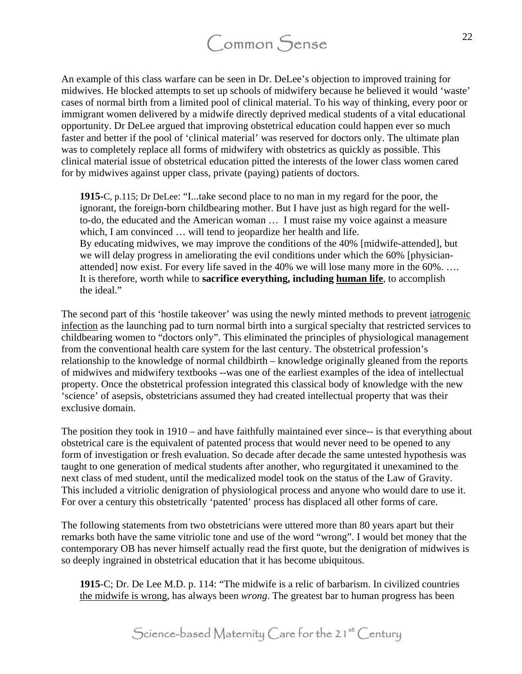An example of this class warfare can be seen in Dr. DeLee's objection to improved training for midwives. He blocked attempts to set up schools of midwifery because he believed it would 'waste' cases of normal birth from a limited pool of clinical material. To his way of thinking, every poor or immigrant women delivered by a midwife directly deprived medical students of a vital educational opportunity. Dr DeLee argued that improving obstetrical education could happen ever so much faster and better if the pool of 'clinical material' was reserved for doctors only. The ultimate plan was to completely replace all forms of midwifery with obstetrics as quickly as possible. This clinical material issue of obstetrical education pitted the interests of the lower class women cared for by midwives against upper class, private (paying) patients of doctors.

**1915-**C, p.115; Dr DeLee: "I...take second place to no man in my regard for the poor, the ignorant, the foreign-born childbearing mother. But I have just as high regard for the wellto-do, the educated and the American woman … I must raise my voice against a measure which, I am convinced ... will tend to jeopardize her health and life. By educating midwives, we may improve the conditions of the 40% [midwife-attended], but we will delay progress in ameliorating the evil conditions under which the 60% [physicianattended] now exist. For every life saved in the 40% we will lose many more in the 60%. …. It is therefore, worth while to **sacrifice everything, including human life**, to accomplish the ideal."

The second part of this 'hostile takeover' was using the newly minted methods to prevent iatrogenic infection as the launching pad to turn normal birth into a surgical specialty that restricted services to childbearing women to "doctors only". This eliminated the principles of physiological management from the conventional health care system for the last century. The obstetrical profession's relationship to the knowledge of normal childbirth – knowledge originally gleaned from the reports of midwives and midwifery textbooks --was one of the earliest examples of the idea of intellectual property. Once the obstetrical profession integrated this classical body of knowledge with the new 'science' of asepsis, obstetricians assumed they had created intellectual property that was their exclusive domain.

The position they took in 1910 – and have faithfully maintained ever since-- is that everything about obstetrical care is the equivalent of patented process that would never need to be opened to any form of investigation or fresh evaluation. So decade after decade the same untested hypothesis was taught to one generation of medical students after another, who regurgitated it unexamined to the next class of med student, until the medicalized model took on the status of the Law of Gravity. This included a vitriolic denigration of physiological process and anyone who would dare to use it. For over a century this obstetrically 'patented' process has displaced all other forms of care.

The following statements from two obstetricians were uttered more than 80 years apart but their remarks both have the same vitriolic tone and use of the word "wrong". I would bet money that the contemporary OB has never himself actually read the first quote, but the denigration of midwives is so deeply ingrained in obstetrical education that it has become ubiquitous.

**1915**-C; Dr. De Lee M.D. p. 114: "The midwife is a relic of barbarism. In civilized countries the midwife is wrong, has always been *wrong*. The greatest bar to human progress has been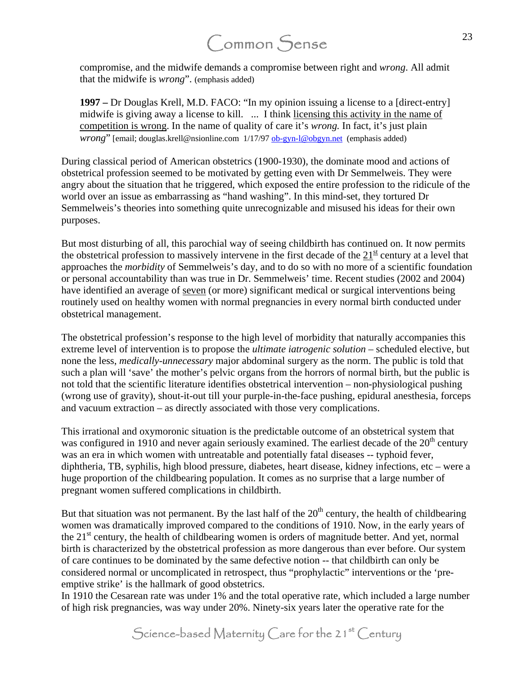compromise, and the midwife demands a compromise between right and *wrong*. All admit that the midwife is *wrong*". (emphasis added)

**1997 –** Dr Douglas Krell, M.D. FACO: "In my opinion issuing a license to a [direct-entry] midwife is giving away a license to kill. ... I think licensing this activity in the name of competition is wrong. In the name of quality of care it's *wrong.* In fact, it's just plain *wrong*" [email; douglas.krell@nsionline.com 1/17/97 [ob-gyn-l@obgyn.net](mailto:ob-gyn-l@obgyn.net) (emphasis added)

During classical period of American obstetrics (1900-1930), the dominate mood and actions of obstetrical profession seemed to be motivated by getting even with Dr Semmelweis. They were angry about the situation that he triggered, which exposed the entire profession to the ridicule of the world over an issue as embarrassing as "hand washing". In this mind-set, they tortured Dr Semmelweis's theories into something quite unrecognizable and misused his ideas for their own purposes.

But most disturbing of all, this parochial way of seeing childbirth has continued on. It now permits the obstetrical profession to massively intervene in the first decade of the  $21<sup>st</sup>$  century at a level that approaches the *morbidity* of Semmelweis's day, and to do so with no more of a scientific foundation or personal accountability than was true in Dr. Semmelweis' time. Recent studies (2002 and 2004) have identified an average of seven (or more) significant medical or surgical interventions being routinely used on healthy women with normal pregnancies in every normal birth conducted under obstetrical management.

The obstetrical profession's response to the high level of morbidity that naturally accompanies this extreme level of intervention is to propose the *ultimate iatrogenic solution* – scheduled elective, but none the less, *medically-unnecessary* major abdominal surgery as the norm. The public is told that such a plan will 'save' the mother's pelvic organs from the horrors of normal birth, but the public is not told that the scientific literature identifies obstetrical intervention – non-physiological pushing (wrong use of gravity), shout-it-out till your purple-in-the-face pushing, epidural anesthesia, forceps and vacuum extraction – as directly associated with those very complications.

This irrational and oxymoronic situation is the predictable outcome of an obstetrical system that was configured in 1910 and never again seriously examined. The earliest decade of the  $20<sup>th</sup>$  century was an era in which women with untreatable and potentially fatal diseases -- typhoid fever, diphtheria, TB, syphilis, high blood pressure, diabetes, heart disease, kidney infections, etc – were a huge proportion of the childbearing population. It comes as no surprise that a large number of pregnant women suffered complications in childbirth.

But that situation was not permanent. By the last half of the  $20<sup>th</sup>$  century, the health of childbearing women was dramatically improved compared to the conditions of 1910. Now, in the early years of the  $21<sup>st</sup>$  century, the health of childbearing women is orders of magnitude better. And yet, normal birth is characterized by the obstetrical profession as more dangerous than ever before. Our system of care continues to be dominated by the same defective notion -- that childbirth can only be considered normal or uncomplicated in retrospect, thus "prophylactic" interventions or the 'preemptive strike' is the hallmark of good obstetrics.

In 1910 the Cesarean rate was under 1% and the total operative rate, which included a large number of high risk pregnancies, was way under 20%. Ninety-six years later the operative rate for the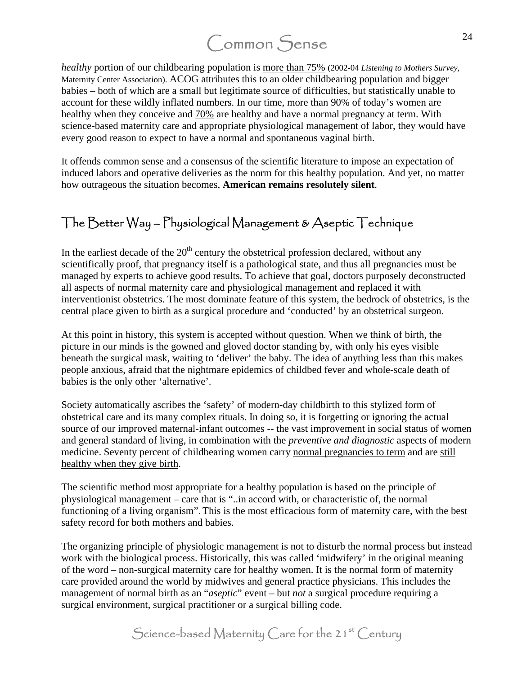*healthy* portion of our childbearing population is more than 75% (2002-04 *Listening to Mothers Survey,*  Maternity Center Association). ACOG attributes this to an older childbearing population and bigger babies – both of which are a small but legitimate source of difficulties, but statistically unable to account for these wildly inflated numbers. In our time, more than 90% of today's women are healthy when they conceive and 70% are healthy and have a normal pregnancy at term. With science-based maternity care and appropriate physiological management of labor, they would have every good reason to expect to have a normal and spontaneous vaginal birth.

It offends common sense and a consensus of the scientific literature to impose an expectation of induced labors and operative deliveries as the norm for this healthy population. And yet, no matter how outrageous the situation becomes, **American remains resolutely silent**.

#### The Better Way – Physiological Management & Aseptic Technique

In the earliest decade of the  $20<sup>th</sup>$  century the obstetrical profession declared, without any scientifically proof, that pregnancy itself is a pathological state, and thus all pregnancies must be managed by experts to achieve good results. To achieve that goal, doctors purposely deconstructed all aspects of normal maternity care and physiological management and replaced it with interventionist obstetrics. The most dominate feature of this system, the bedrock of obstetrics, is the central place given to birth as a surgical procedure and 'conducted' by an obstetrical surgeon.

At this point in history, this system is accepted without question. When we think of birth, the picture in our minds is the gowned and gloved doctor standing by, with only his eyes visible beneath the surgical mask, waiting to 'deliver' the baby. The idea of anything less than this makes people anxious, afraid that the nightmare epidemics of childbed fever and whole-scale death of babies is the only other 'alternative'.

Society automatically ascribes the 'safety' of modern-day childbirth to this stylized form of obstetrical care and its many complex rituals. In doing so, it is forgetting or ignoring the actual source of our improved maternal-infant outcomes -- the vast improvement in social status of women and general standard of living, in combination with the *preventive and diagnostic* aspects of modern medicine. Seventy percent of childbearing women carry normal pregnancies to term and are still healthy when they give birth.

The scientific method most appropriate for a healthy population is based on the principle of physiological management – care that is "..in accord with, or characteristic of, the normal functioning of a living organism". This is the most efficacious form of maternity care, with the best safety record for both mothers and babies.

The organizing principle of physiologic management is not to disturb the normal process but instead work with the biological process. Historically, this was called 'midwifery' in the original meaning of the word – non-surgical maternity care for healthy women. It is the normal form of maternity care provided around the world by midwives and general practice physicians. This includes the management of normal birth as an "*aseptic*" event – but *not* a surgical procedure requiring a surgical environment, surgical practitioner or a surgical billing code.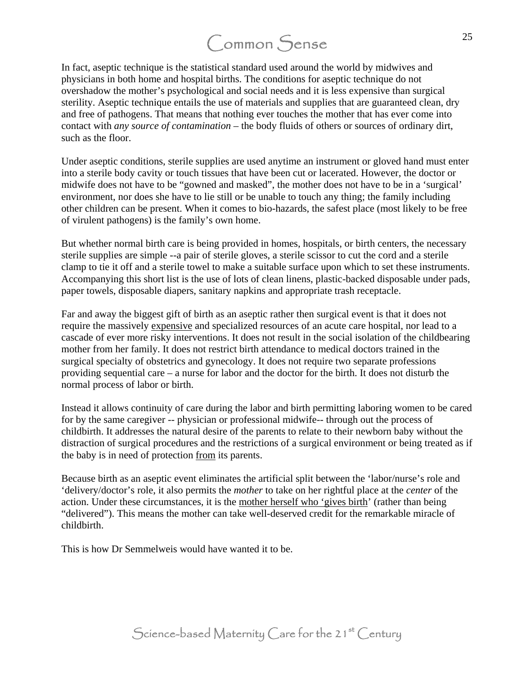In fact, aseptic technique is the statistical standard used around the world by midwives and physicians in both home and hospital births. The conditions for aseptic technique do not overshadow the mother's psychological and social needs and it is less expensive than surgical sterility. Aseptic technique entails the use of materials and supplies that are guaranteed clean, dry and free of pathogens. That means that nothing ever touches the mother that has ever come into contact with *any source of contamination* – the body fluids of others or sources of ordinary dirt, such as the floor.

Under aseptic conditions, sterile supplies are used anytime an instrument or gloved hand must enter into a sterile body cavity or touch tissues that have been cut or lacerated. However, the doctor or midwife does not have to be "gowned and masked", the mother does not have to be in a 'surgical' environment, nor does she have to lie still or be unable to touch any thing; the family including other children can be present. When it comes to bio-hazards, the safest place (most likely to be free of virulent pathogens) is the family's own home.

But whether normal birth care is being provided in homes, hospitals, or birth centers, the necessary sterile supplies are simple --a pair of sterile gloves, a sterile scissor to cut the cord and a sterile clamp to tie it off and a sterile towel to make a suitable surface upon which to set these instruments. Accompanying this short list is the use of lots of clean linens, plastic-backed disposable under pads, paper towels, disposable diapers, sanitary napkins and appropriate trash receptacle.

Far and away the biggest gift of birth as an aseptic rather then surgical event is that it does not require the massively expensive and specialized resources of an acute care hospital, nor lead to a cascade of ever more risky interventions. It does not result in the social isolation of the childbearing mother from her family. It does not restrict birth attendance to medical doctors trained in the surgical specialty of obstetrics and gynecology. It does not require two separate professions providing sequential care – a nurse for labor and the doctor for the birth. It does not disturb the normal process of labor or birth.

Instead it allows continuity of care during the labor and birth permitting laboring women to be cared for by the same caregiver -- physician or professional midwife-- through out the process of childbirth. It addresses the natural desire of the parents to relate to their newborn baby without the distraction of surgical procedures and the restrictions of a surgical environment or being treated as if the baby is in need of protection from its parents.

Because birth as an aseptic event eliminates the artificial split between the 'labor/nurse's role and 'delivery/doctor's role, it also permits the *mother* to take on her rightful place at the *center* of the action. Under these circumstances, it is the mother herself who 'gives birth' (rather than being "delivered"). This means the mother can take well-deserved credit for the remarkable miracle of childbirth.

This is how Dr Semmelweis would have wanted it to be.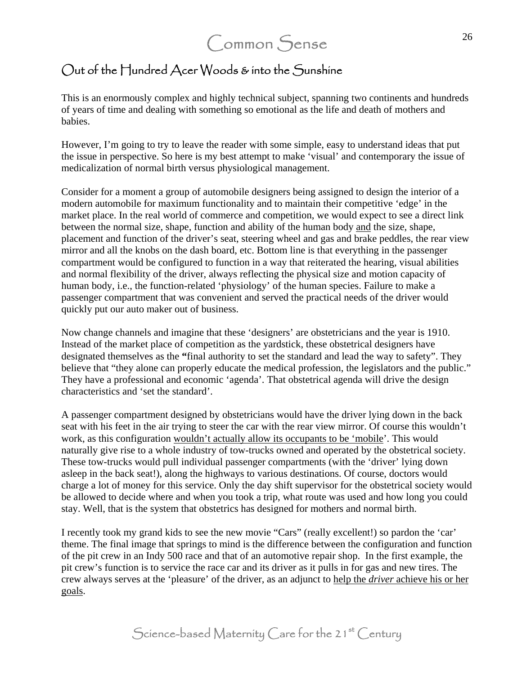#### Out of the Hundred Acer Woods & into the Sunshine

This is an enormously complex and highly technical subject, spanning two continents and hundreds of years of time and dealing with something so emotional as the life and death of mothers and babies.

However, I'm going to try to leave the reader with some simple, easy to understand ideas that put the issue in perspective. So here is my best attempt to make 'visual' and contemporary the issue of medicalization of normal birth versus physiological management.

Consider for a moment a group of automobile designers being assigned to design the interior of a modern automobile for maximum functionality and to maintain their competitive 'edge' in the market place. In the real world of commerce and competition, we would expect to see a direct link between the normal size, shape, function and ability of the human body and the size, shape, placement and function of the driver's seat, steering wheel and gas and brake peddles, the rear view mirror and all the knobs on the dash board, etc. Bottom line is that everything in the passenger compartment would be configured to function in a way that reiterated the hearing, visual abilities and normal flexibility of the driver, always reflecting the physical size and motion capacity of human body, i.e., the function-related 'physiology' of the human species. Failure to make a passenger compartment that was convenient and served the practical needs of the driver would quickly put our auto maker out of business.

Now change channels and imagine that these 'designers' are obstetricians and the year is 1910. Instead of the market place of competition as the yardstick, these obstetrical designers have designated themselves as the **"**final authority to set the standard and lead the way to safety". They believe that "they alone can properly educate the medical profession, the legislators and the public." They have a professional and economic 'agenda'. That obstetrical agenda will drive the design characteristics and 'set the standard'.

A passenger compartment designed by obstetricians would have the driver lying down in the back seat with his feet in the air trying to steer the car with the rear view mirror. Of course this wouldn't work, as this configuration wouldn't actually allow its occupants to be 'mobile'. This would naturally give rise to a whole industry of tow-trucks owned and operated by the obstetrical society. These tow-trucks would pull individual passenger compartments (with the 'driver' lying down asleep in the back seat!), along the highways to various destinations. Of course, doctors would charge a lot of money for this service. Only the day shift supervisor for the obstetrical society would be allowed to decide where and when you took a trip, what route was used and how long you could stay. Well, that is the system that obstetrics has designed for mothers and normal birth.

I recently took my grand kids to see the new movie "Cars" (really excellent!) so pardon the 'car' theme. The final image that springs to mind is the difference between the configuration and function of the pit crew in an Indy 500 race and that of an automotive repair shop. In the first example, the pit crew's function is to service the race car and its driver as it pulls in for gas and new tires. The crew always serves at the 'pleasure' of the driver, as an adjunct to help the *driver* achieve his or her goals.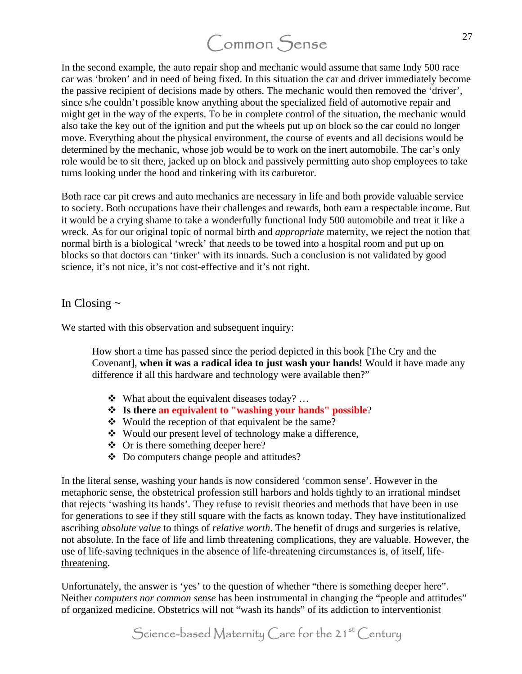In the second example, the auto repair shop and mechanic would assume that same Indy 500 race car was 'broken' and in need of being fixed. In this situation the car and driver immediately become the passive recipient of decisions made by others. The mechanic would then removed the 'driver', since s/he couldn't possible know anything about the specialized field of automotive repair and might get in the way of the experts. To be in complete control of the situation, the mechanic would also take the key out of the ignition and put the wheels put up on block so the car could no longer move. Everything about the physical environment, the course of events and all decisions would be determined by the mechanic, whose job would be to work on the inert automobile. The car's only role would be to sit there, jacked up on block and passively permitting auto shop employees to take turns looking under the hood and tinkering with its carburetor.

Both race car pit crews and auto mechanics are necessary in life and both provide valuable service to society. Both occupations have their challenges and rewards, both earn a respectable income. But it would be a crying shame to take a wonderfully functional Indy 500 automobile and treat it like a wreck. As for our original topic of normal birth and *appropriate* maternity, we reject the notion that normal birth is a biological 'wreck' that needs to be towed into a hospital room and put up on blocks so that doctors can 'tinker' with its innards. Such a conclusion is not validated by good science, it's not nice, it's not cost-effective and it's not right.

#### In Closing  $\sim$

We started with this observation and subsequent inquiry:

How short a time has passed since the period depicted in this book [The Cry and the Covenant], **when it was a radical idea to just wash your hands!** Would it have made any difference if all this hardware and technology were available then?"

- What about the equivalent diseases today? …
- **Is there an equivalent to "washing your hands" possible**?
- Would the reception of that equivalent be the same?
- Would our present level of technology make a difference,
- $\triangleleft$  Or is there something deeper here?
- **❖** Do computers change people and attitudes?

In the literal sense, washing your hands is now considered 'common sense'. However in the metaphoric sense, the obstetrical profession still harbors and holds tightly to an irrational mindset that rejects 'washing its hands'. They refuse to revisit theories and methods that have been in use for generations to see if they still square with the facts as known today. They have institutionalized ascribing *absolute value* to things of *relative worth*. The benefit of drugs and surgeries is relative, not absolute. In the face of life and limb threatening complications, they are valuable. However, the use of life-saving techniques in the absence of life-threatening circumstances is, of itself, lifethreatening.

Unfortunately, the answer is 'yes' to the question of whether "there is something deeper here". Neither *computers nor common sense* has been instrumental in changing the "people and attitudes" of organized medicine. Obstetrics will not "wash its hands" of its addiction to interventionist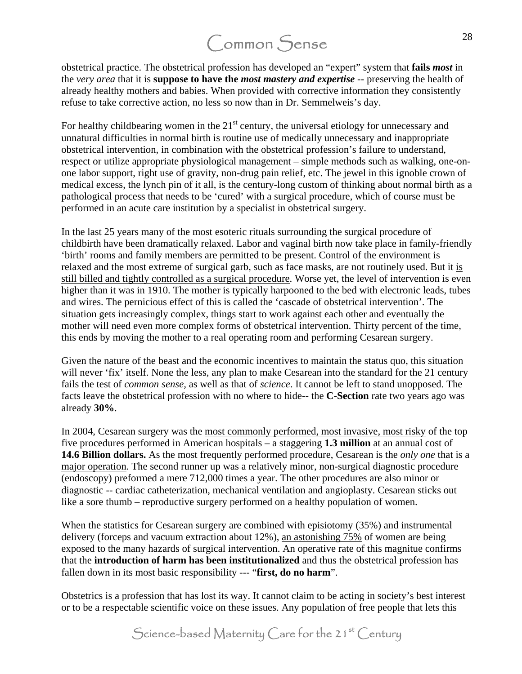obstetrical practice. The obstetrical profession has developed an "expert" system that **fails** *most* in the *very area* that it is **suppose to have the** *most mastery and expertise* -- preserving the health of already healthy mothers and babies. When provided with corrective information they consistently refuse to take corrective action, no less so now than in Dr. Semmelweis's day.

For healthy childbearing women in the  $21<sup>st</sup>$  century, the universal etiology for unnecessary and unnatural difficulties in normal birth is routine use of medically unnecessary and inappropriate obstetrical intervention, in combination with the obstetrical profession's failure to understand, respect or utilize appropriate physiological management – simple methods such as walking, one-onone labor support, right use of gravity, non-drug pain relief, etc. The jewel in this ignoble crown of medical excess, the lynch pin of it all, is the century-long custom of thinking about normal birth as a pathological process that needs to be 'cured' with a surgical procedure, which of course must be performed in an acute care institution by a specialist in obstetrical surgery.

In the last 25 years many of the most esoteric rituals surrounding the surgical procedure of childbirth have been dramatically relaxed. Labor and vaginal birth now take place in family-friendly 'birth' rooms and family members are permitted to be present. Control of the environment is relaxed and the most extreme of surgical garb, such as face masks, are not routinely used. But it is still billed and tightly controlled as a surgical procedure. Worse yet, the level of intervention is even higher than it was in 1910. The mother is typically harpooned to the bed with electronic leads, tubes and wires. The pernicious effect of this is called the 'cascade of obstetrical intervention'. The situation gets increasingly complex, things start to work against each other and eventually the mother will need even more complex forms of obstetrical intervention. Thirty percent of the time, this ends by moving the mother to a real operating room and performing Cesarean surgery.

Given the nature of the beast and the economic incentives to maintain the status quo, this situation will never 'fix' itself. None the less, any plan to make Cesarean into the standard for the 21 century fails the test of *common sense,* as well as that of *science*. It cannot be left to stand unopposed. The facts leave the obstetrical profession with no where to hide-- the **C-Section** rate two years ago was already **30%**.

In 2004, Cesarean surgery was the most commonly performed, most invasive, most risky of the top five procedures performed in American hospitals – a staggering **1.3 million** at an annual cost of **14.6 Billion dollars.** As the most frequently performed procedure, Cesarean is the *only one* that is a major operation. The second runner up was a relatively minor, non-surgical diagnostic procedure (endoscopy) preformed a mere 712,000 times a year. The other procedures are also minor or diagnostic -- cardiac catheterization, mechanical ventilation and angioplasty. Cesarean sticks out like a sore thumb – reproductive surgery performed on a healthy population of women.

When the statistics for Cesarean surgery are combined with episiotomy (35%) and instrumental delivery (forceps and vacuum extraction about 12%), an astonishing 75% of women are being exposed to the many hazards of surgical intervention. An operative rate of this magnitue confirms that the **introduction of harm has been institutionalized** and thus the obstetrical profession has fallen down in its most basic responsibility --- "**first, do no harm**".

Obstetrics is a profession that has lost its way. It cannot claim to be acting in society's best interest or to be a respectable scientific voice on these issues. Any population of free people that lets this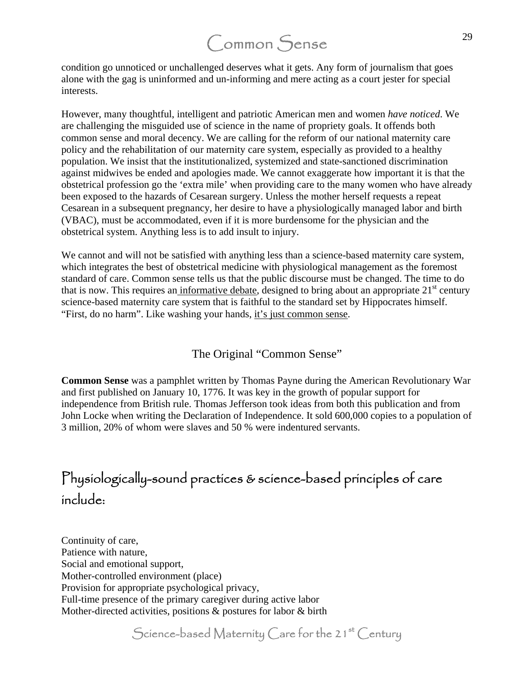condition go unnoticed or unchallenged deserves what it gets. Any form of journalism that goes alone with the gag is uninformed and un-informing and mere acting as a court jester for special interests.

However, many thoughtful, intelligent and patriotic American men and women *have noticed*. We are challenging the misguided use of science in the name of propriety goals. It offends both common sense and moral decency. We are calling for the reform of our national maternity care policy and the rehabilitation of our maternity care system, especially as provided to a healthy population. We insist that the institutionalized, systemized and state-sanctioned discrimination against midwives be ended and apologies made. We cannot exaggerate how important it is that the obstetrical profession go the 'extra mile' when providing care to the many women who have already been exposed to the hazards of Cesarean surgery. Unless the mother herself requests a repeat Cesarean in a subsequent pregnancy, her desire to have a physiologically managed labor and birth (VBAC), must be accommodated, even if it is more burdensome for the physician and the obstetrical system. Anything less is to add insult to injury.

We cannot and will not be satisfied with anything less than a science-based maternity care system, which integrates the best of obstetrical medicine with physiological management as the foremost standard of care. Common sense tells us that the public discourse must be changed. The time to do that is now. This requires an informative debate, designed to bring about an appropriate  $21<sup>st</sup>$  century science-based maternity care system that is faithful to the standard set by Hippocrates himself. "First, do no harm". Like washing your hands, it's just common sense.

#### The Original "Common Sense"

**Common Sense** was a pamphlet written by Thomas Payne during the American Revolutionary War and first published on January 10, 1776. It was key in the growth of popular support for independence from British rule. Thomas Jefferson took ideas from both this publication and from John Locke when writing the Declaration of Independence. It sold 600,000 copies to a population of 3 million, 20% of whom were slaves and 50 % were indentured servants.

#### Physiologically-sound practices & science-based principles of care include:

Continuity of care, Patience with nature, Social and emotional support, Mother-controlled environment (place) Provision for appropriate psychological privacy, Full-time presence of the primary caregiver during active labor Mother-directed activities, positions & postures for labor & birth